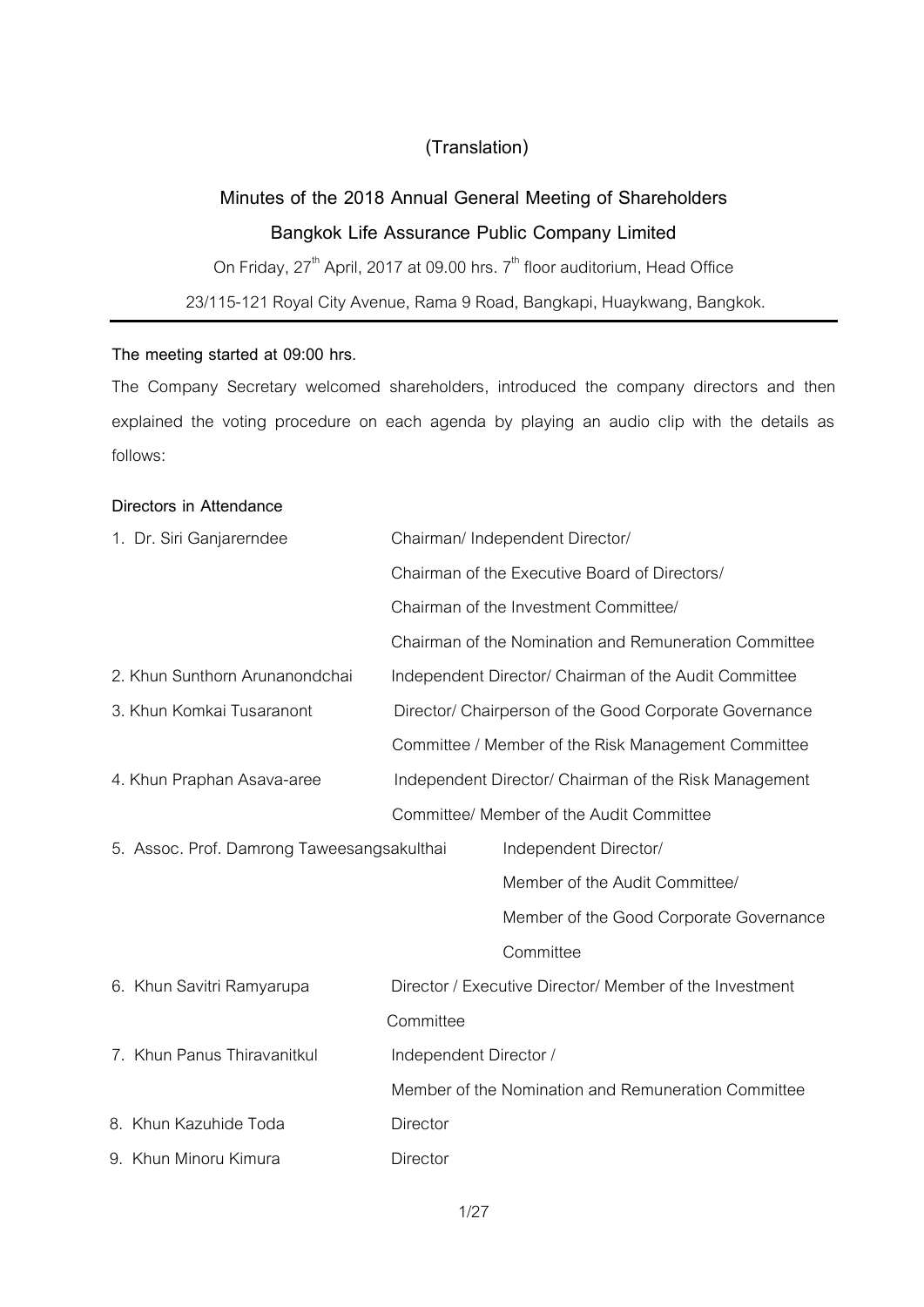## **(Translation)**

# **Minutes of the 2018 Annual General Meeting of Shareholders Bangkok Life Assurance Public Company Limited**

On Friday, 27<sup>th</sup> April, 2017 at 09.00 hrs. 7<sup>th</sup> floor auditorium, Head Office 23/115-121 Royal City Avenue, Rama 9 Road, Bangkapi, Huaykwang, Bangkok.

## **The meeting started at 09:00 hrs.**

The Company Secretary welcomed shareholders, introduced the company directors and then explained the voting procedure on each agenda by playing an audio clip with the details as follows:

## **Directors in Attendance**

| 1. Dr. Siri Ganjarerndee                   | Chairman/ Independent Director/       |                                                         |
|--------------------------------------------|---------------------------------------|---------------------------------------------------------|
|                                            |                                       | Chairman of the Executive Board of Directors/           |
|                                            | Chairman of the Investment Committee/ |                                                         |
|                                            |                                       | Chairman of the Nomination and Remuneration Committee   |
| 2. Khun Sunthorn Arunanondchai             |                                       | Independent Director/ Chairman of the Audit Committee   |
| 3. Khun Komkai Tusaranont                  |                                       | Director/ Chairperson of the Good Corporate Governance  |
|                                            |                                       | Committee / Member of the Risk Management Committee     |
| 4. Khun Praphan Asava-aree                 |                                       | Independent Director/ Chairman of the Risk Management   |
|                                            |                                       | Committee/ Member of the Audit Committee                |
| 5. Assoc. Prof. Damrong Taweesangsakulthai |                                       | Independent Director/                                   |
|                                            |                                       | Member of the Audit Committee/                          |
|                                            |                                       | Member of the Good Corporate Governance                 |
|                                            |                                       | Committee                                               |
| 6. Khun Savitri Ramyarupa                  |                                       | Director / Executive Director/ Member of the Investment |
|                                            | Committee                             |                                                         |
| 7. Khun Panus Thiravanitkul                | Independent Director /                |                                                         |
|                                            |                                       | Member of the Nomination and Remuneration Committee     |
| 8. Khun Kazuhide Toda                      | Director                              |                                                         |
| 9. Khun Minoru Kimura                      | <b>Director</b>                       |                                                         |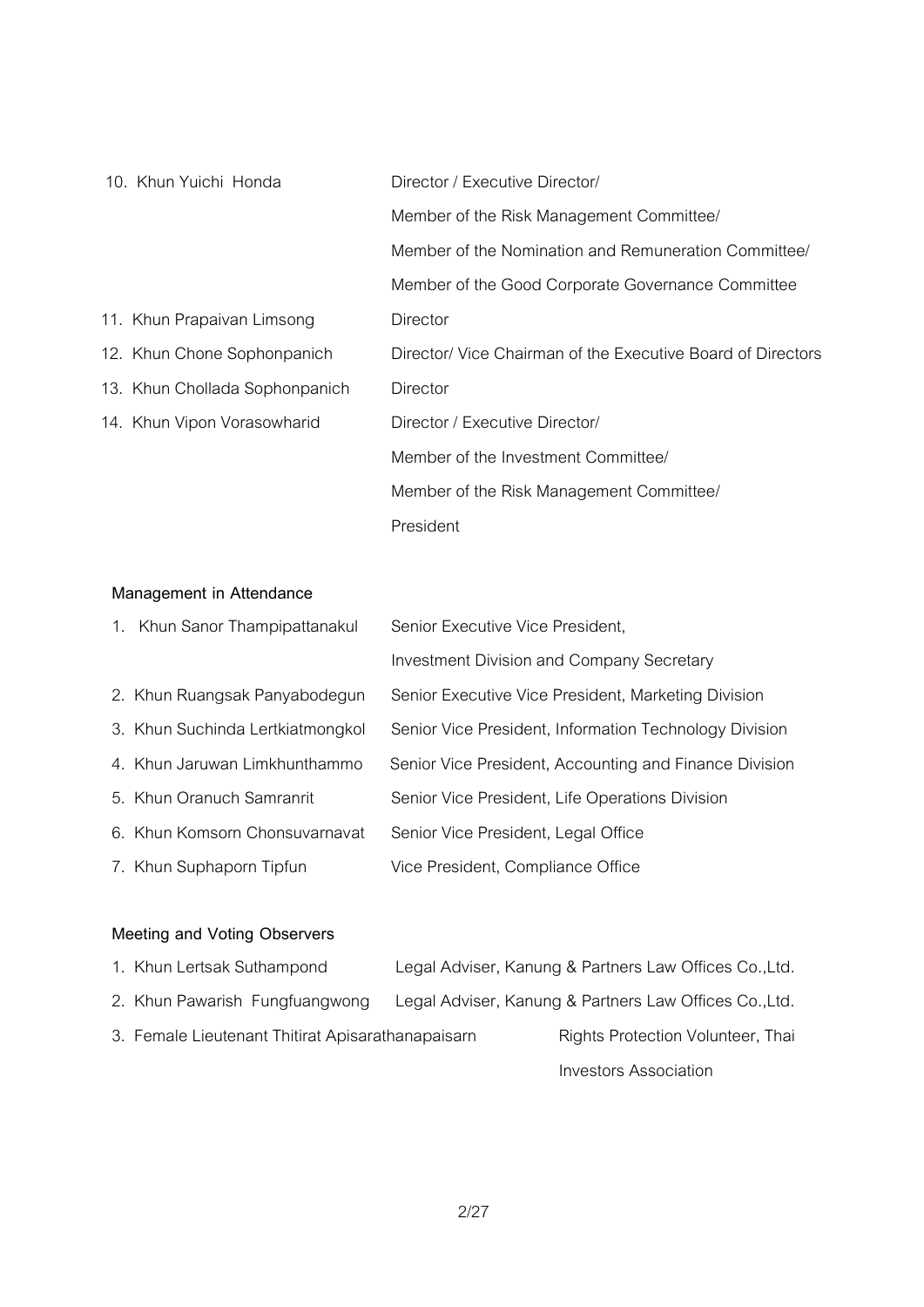| 10. Khun Yuichi Honda          | Director / Executive Director/                              |  |
|--------------------------------|-------------------------------------------------------------|--|
|                                | Member of the Risk Management Committee/                    |  |
|                                | Member of the Nomination and Remuneration Committee/        |  |
|                                | Member of the Good Corporate Governance Committee           |  |
| 11. Khun Prapaivan Limsong     | Director                                                    |  |
| 12. Khun Chone Sophonpanich    | Director/ Vice Chairman of the Executive Board of Directors |  |
| 13. Khun Chollada Sophonpanich | Director                                                    |  |
| 14. Khun Vipon Vorasowharid    | Director / Executive Director/                              |  |
|                                | Member of the Investment Committee/                         |  |
|                                | Member of the Risk Management Committee/                    |  |
|                                | President                                                   |  |

## **Management in Attendance**

| 1. Khun Sanor Thampipattanakul   | Senior Executive Vice President,                       |
|----------------------------------|--------------------------------------------------------|
|                                  | <b>Investment Division and Company Secretary</b>       |
| 2. Khun Ruangsak Panyabodegun    | Senior Executive Vice President, Marketing Division    |
| 3. Khun Suchinda Lertkiatmongkol | Senior Vice President, Information Technology Division |
| 4. Khun Jaruwan Limkhunthammo    | Senior Vice President, Accounting and Finance Division |
| 5. Khun Oranuch Samranrit        | Senior Vice President, Life Operations Division        |
| 6. Khun Komsorn Chonsuvarnavat   | Senior Vice President, Legal Office                    |
| 7. Khun Suphaporn Tipfun         | Vice President, Compliance Office                      |

# **Meeting and Voting Observers**

| 1. Khun Lertsak Suthampond                        | Legal Adviser, Kanung & Partners Law Offices Co., Ltd. |
|---------------------------------------------------|--------------------------------------------------------|
| 2. Khun Pawarish Fungfuangwong                    | Legal Adviser, Kanung & Partners Law Offices Co., Ltd. |
| 3. Female Lieutenant Thitirat Apisarathanapaisarn | Rights Protection Volunteer, Thai                      |
|                                                   | Investors Association                                  |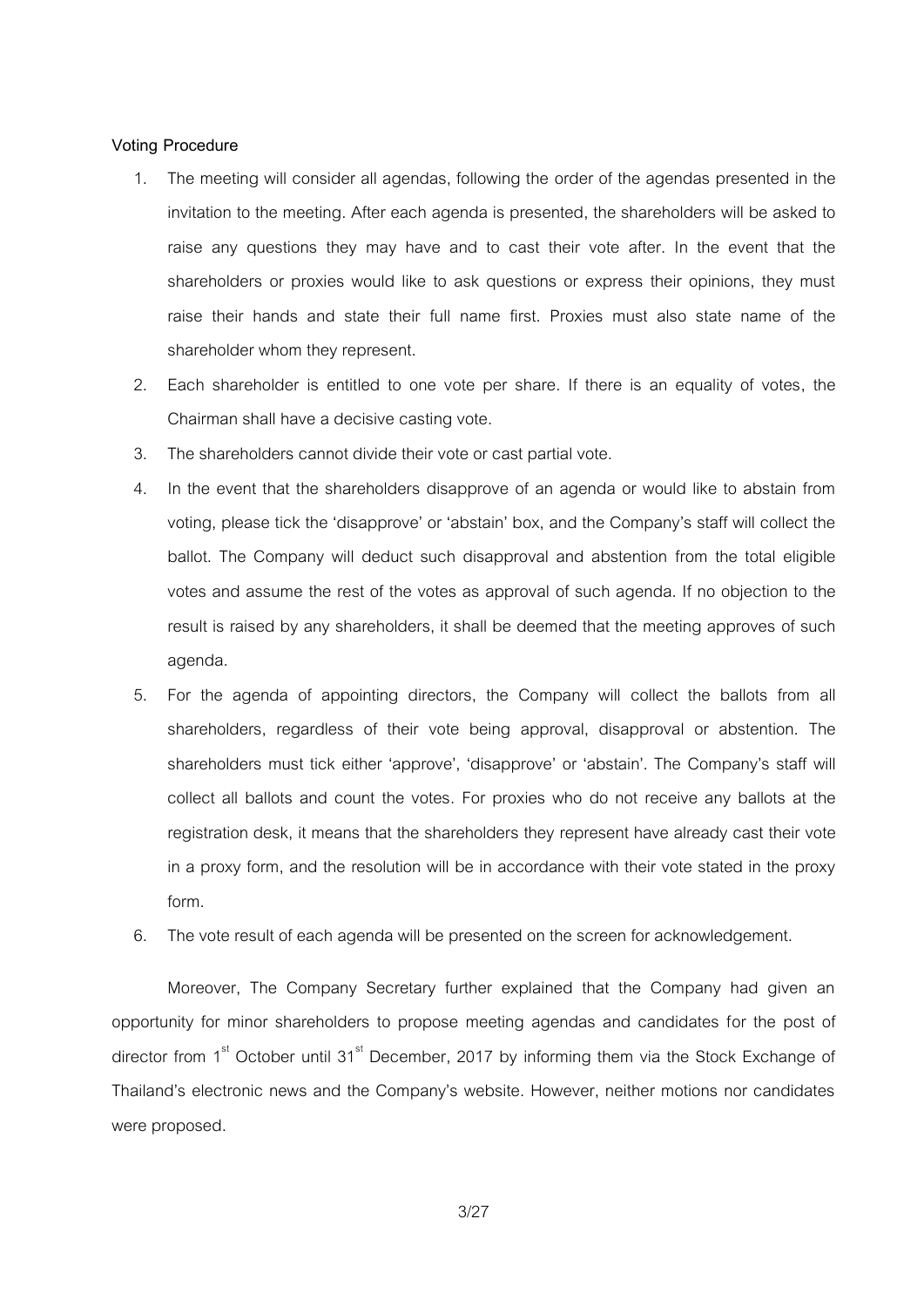### **Voting Procedure**

- 1. The meeting will consider all agendas, following the order of the agendas presented in the invitation to the meeting. After each agenda is presented, the shareholders will be asked to raise any questions they may have and to cast their vote after. In the event that the shareholders or proxies would like to ask questions or express their opinions, they must raise their hands and state their full name first. Proxies must also state name of the shareholder whom they represent.
- 2. Each shareholder is entitled to one vote per share. If there is an equality of votes, the Chairman shall have a decisive casting vote.
- 3. The shareholders cannot divide their vote or cast partial vote.
- 4. In the event that the shareholders disapprove of an agenda or would like to abstain from voting, please tick the 'disapprove' or 'abstain' box, and the Company's staff will collect the ballot. The Company will deduct such disapproval and abstention from the total eligible votes and assume the rest of the votes as approval of such agenda. If no objection to the result is raised by any shareholders, it shall be deemed that the meeting approves of such agenda.
- 5. For the agenda of appointing directors, the Company will collect the ballots from all shareholders, regardless of their vote being approval, disapproval or abstention. The shareholders must tick either 'approve', 'disapprove' or 'abstain'. The Company's staff will collect all ballots and count the votes. For proxies who do not receive any ballots at the registration desk, it means that the shareholders they represent have already cast their vote in a proxy form, and the resolution will be in accordance with their vote stated in the proxy form.
- 6. The vote result of each agenda will be presented on the screen for acknowledgement.

Moreover, The Company Secretary further explained that the Company had given an opportunity for minor shareholders to propose meeting agendas and candidates for the post of director from 1<sup>st</sup> October until 31<sup>st</sup> December, 2017 by informing them via the Stock Exchange of Thailand's electronic news and the Company's website. However, neither motions nor candidates were proposed.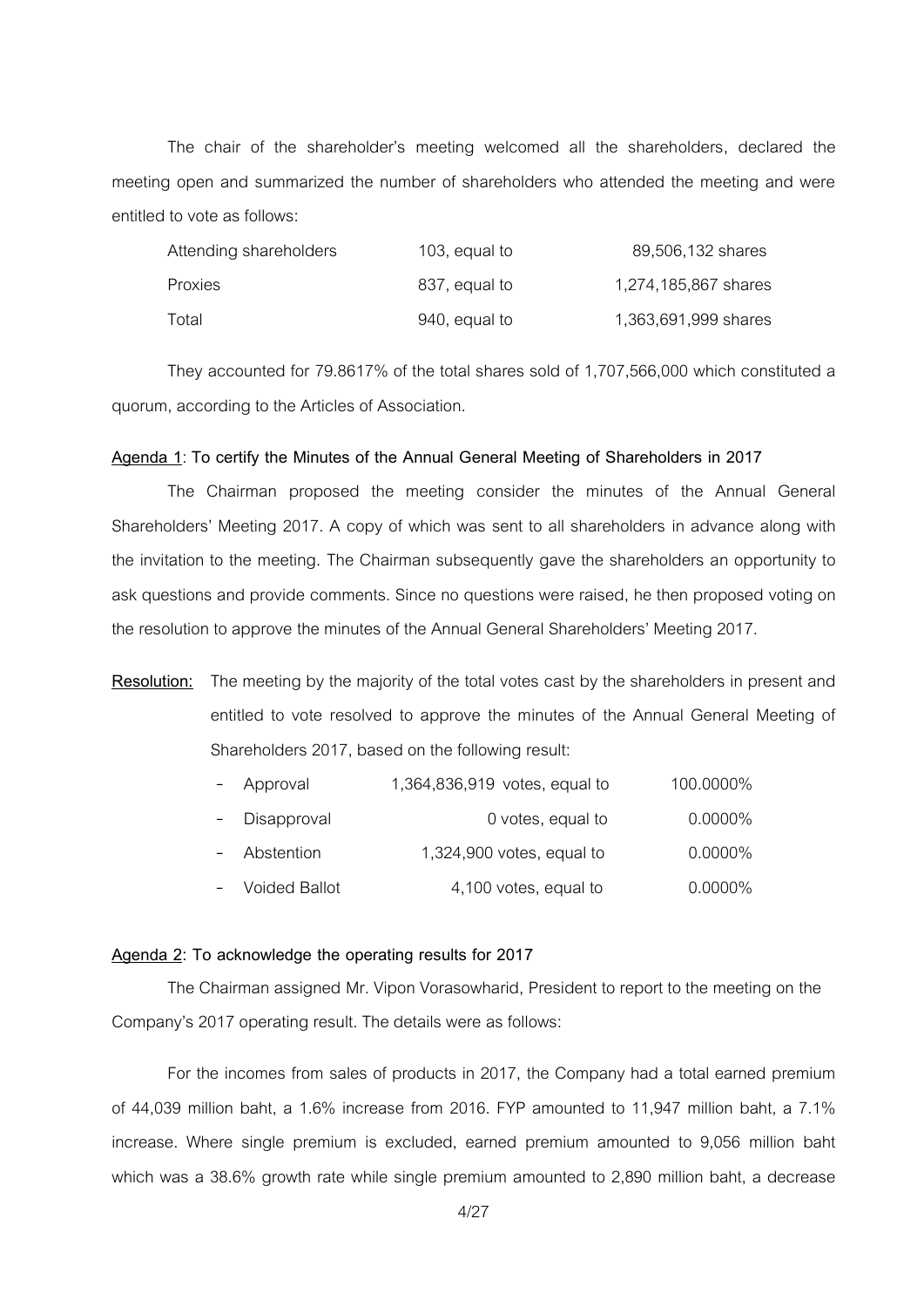The chair of the shareholder's meeting welcomed all the shareholders, declared the meeting open and summarized the number of shareholders who attended the meeting and were entitled to vote as follows:

| Attending shareholders | 103, equal to | 89,506,132 shares    |
|------------------------|---------------|----------------------|
| Proxies                | 837, equal to | 1,274,185,867 shares |
| Total                  | 940, equal to | 1,363,691,999 shares |

They accounted for 79.8617% of the total shares sold of 1,707,566,000 which constituted a quorum, according to the Articles of Association.

#### **Agenda 1**: **To certify the Minutes of the Annual General Meeting of Shareholders in 2017**

The Chairman proposed the meeting consider the minutes of the Annual General Shareholders' Meeting 2017. A copy of which was sent to all shareholders in advance along with the invitation to the meeting. The Chairman subsequently gave the shareholders an opportunity to ask questions and provide comments. Since no questions were raised, he then proposed voting on the resolution to approve the minutes of the Annual General Shareholders' Meeting 2017.

# **Resolution:** The meeting by the majority of the total votes cast by the shareholders in present and entitled to vote resolved to approve the minutes of the Annual General Meeting of Shareholders 2017, based on the following result:

| $\sim$ $^{-1}$ | Approval        | 1,364,836,919 votes, equal to | 100.0000%  |
|----------------|-----------------|-------------------------------|------------|
|                | - Disapproval   | 0 votes, equal to             | $0.0000\%$ |
|                | - Abstention    | $1,324,900$ votes, equal to   | $0.0000\%$ |
|                | - Voided Ballot | 4,100 votes, equal to         | $0.0000\%$ |

#### **Agenda 2: To acknowledge the operating results for 2017**

The Chairman assigned Mr. Vipon Vorasowharid, President to report to the meeting on the Company's 2017 operating result. The details were as follows:

For the incomes from sales of products in 2017, the Company had a total earned premium of 44,039 million baht, a 1.6% increase from 2016. FYP amounted to 11,947 million baht, a 7.1% increase. Where single premium is excluded, earned premium amounted to 9,056 million baht which was a 38.6% growth rate while single premium amounted to 2,890 million baht, a decrease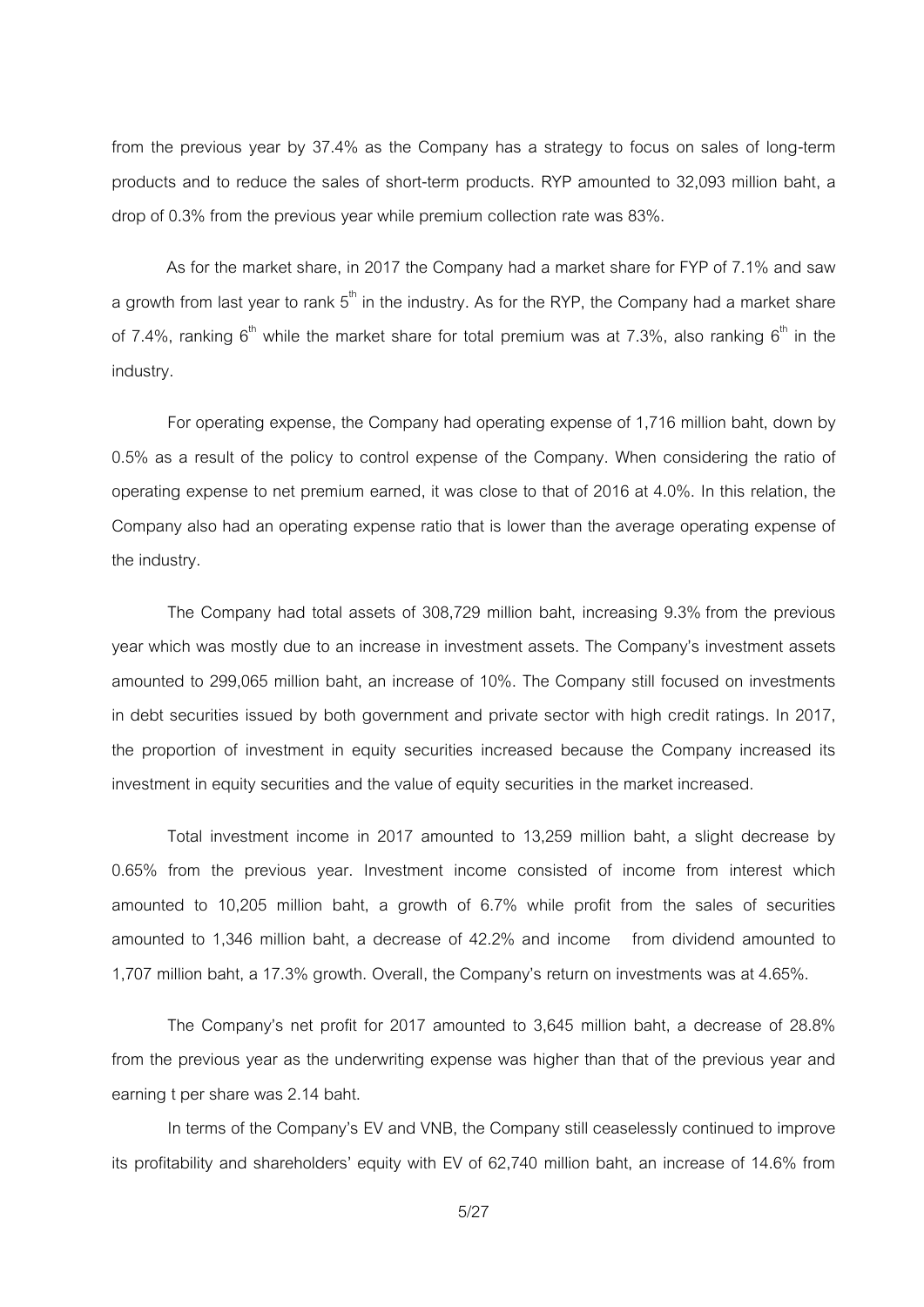from the previous year by 37.4% as the Company has a strategy to focus on sales of long-term products and to reduce the sales of short-term products. RYP amounted to 32,093 million baht, a drop of 0.3% from the previous year while premium collection rate was 83%.

As for the market share, in 2017 the Company had a market share for FYP of 7.1% and saw a growth from last year to rank  $5<sup>th</sup>$  in the industry. As for the RYP, the Company had a market share of 7.4%, ranking  $6<sup>th</sup>$  while the market share for total premium was at 7.3%, also ranking  $6<sup>th</sup>$  in the industry.

For operating expense, the Company had operating expense of 1,716 million baht, down by 0.5% as a result of the policy to control expense of the Company. When considering the ratio of operating expense to net premium earned, it was close to that of 2016 at 4.0%. In this relation, the Company also had an operating expense ratio that is lower than the average operating expense of the industry.

The Company had total assets of 308,729 million baht, increasing 9.3% from the previous year which was mostly due to an increase in investment assets. The Company's investment assets amounted to 299,065 million baht, an increase of 10%. The Company still focused on investments in debt securities issued by both government and private sector with high credit ratings. In 2017, the proportion of investment in equity securities increased because the Company increased its investment in equity securities and the value of equity securities in the market increased.

Total investment income in 2017 amounted to 13,259 million baht, a slight decrease by 0.65% from the previous year. Investment income consisted of income from interest which amounted to 10,205 million baht, a growth of 6.7% while profit from the sales of securities amounted to 1,346 million baht, a decrease of 42.2% and income from dividend amounted to 1,707 million baht, a 17.3% growth. Overall, the Company's return on investments was at 4.65%.

The Company's net profit for 2017 amounted to 3,645 million baht, a decrease of 28.8% from the previous year as the underwriting expense was higher than that of the previous year and earning t per share was 2.14 baht.

In terms of the Company's EV and VNB, the Company still ceaselessly continued to improve its profitability and shareholders' equity with EV of 62,740 million baht, an increase of 14.6% from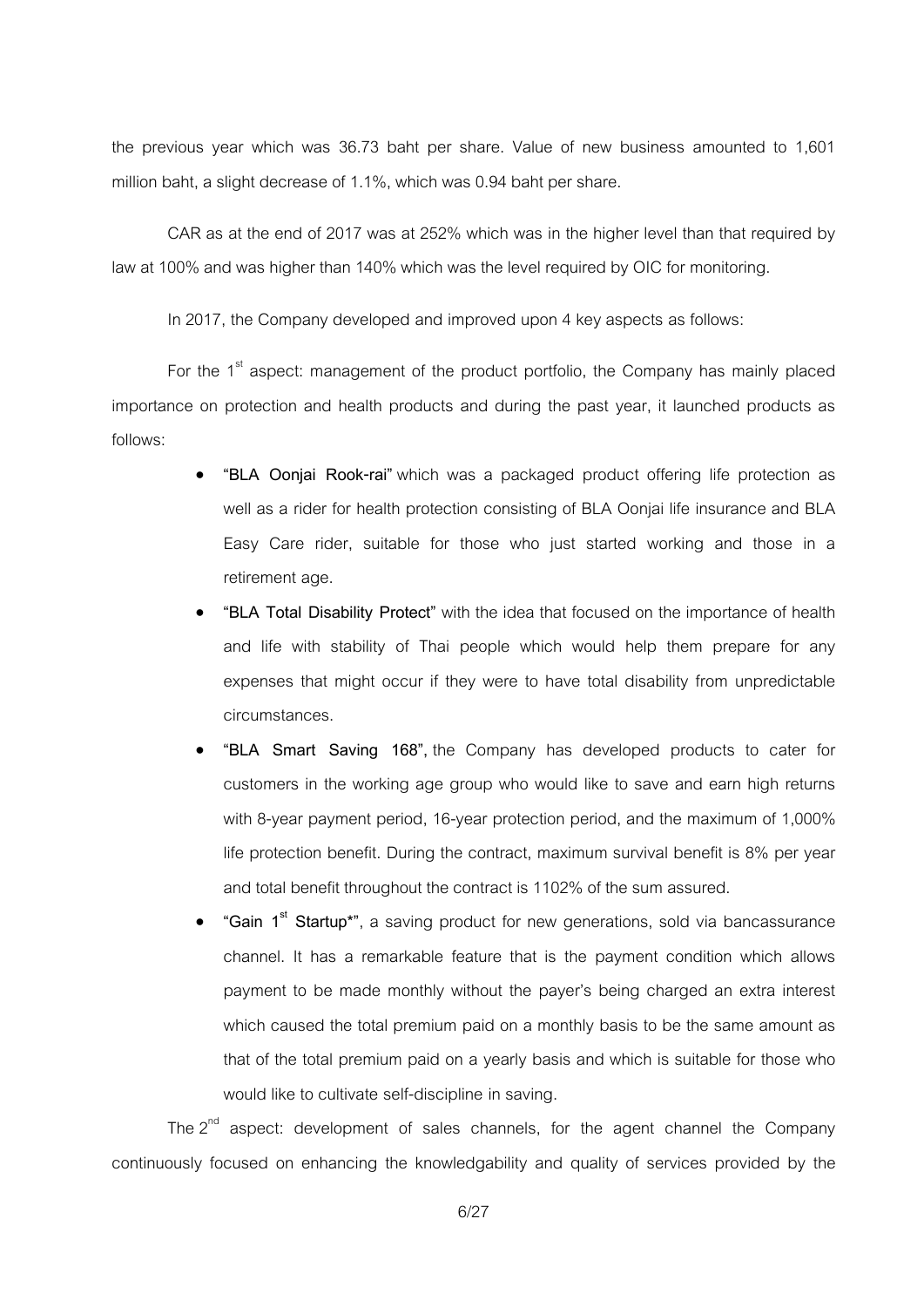the previous year which was 36.73 baht per share. Value of new business amounted to 1,601 million baht, a slight decrease of 1.1%, which was 0.94 baht per share.

CAR as at the end of 2017 was at 252% which was in the higher level than that required by law at 100% and was higher than 140% which was the level required by OIC for monitoring.

In 2017, the Company developed and improved upon 4 key aspects as follows:

For the  $1<sup>st</sup>$  aspect: management of the product portfolio, the Company has mainly placed importance on protection and health products and during the past year, it launched products as follows:

- **"BLA Oonjai Rook-rai"** which was a packaged product offering life protection as well as a rider for health protection consisting of BLA Oonjai life insurance and BLA Easy Care rider, suitable for those who just started working and those in a retirement age.
- **"BLA Total Disability Protect"** with the idea that focused on the importance of health and life with stability of Thai people which would help them prepare for any expenses that might occur if they were to have total disability from unpredictable circumstances.
- **"BLA Smart Saving 168",** the Company has developed products to cater for customers in the working age group who would like to save and earn high returns with 8-year payment period, 16-year protection period, and the maximum of 1,000% life protection benefit. During the contract, maximum survival benefit is 8% per year and total benefit throughout the contract is 1102% of the sum assured.
- **"Gain 1st Startup\*"**, a saving product for new generations, sold via bancassurance channel. It has a remarkable feature that is the payment condition which allows payment to be made monthly without the payer's being charged an extra interest which caused the total premium paid on a monthly basis to be the same amount as that of the total premium paid on a yearly basis and which is suitable for those who would like to cultivate self-discipline in saving.

The  $2^{nd}$  aspect: development of sales channels, for the agent channel the Company continuously focused on enhancing the knowledgability and quality of services provided by the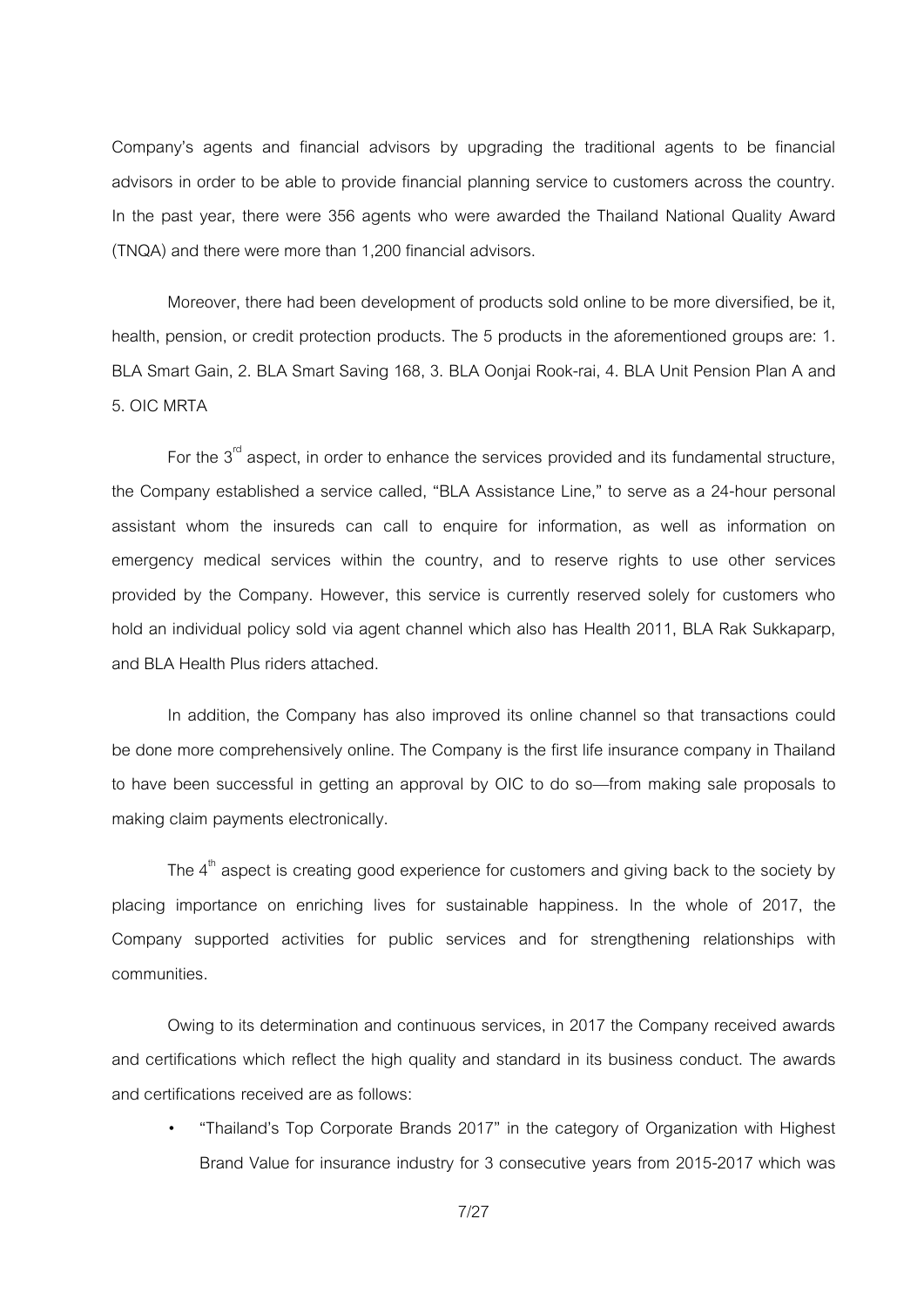Company's agents and financial advisors by upgrading the traditional agents to be financial advisors in order to be able to provide financial planning service to customers across the country. In the past year, there were 356 agents who were awarded the Thailand National Quality Award (TNQA) and there were more than 1,200 financial advisors.

Moreover, there had been development of products sold online to be more diversified, be it, health, pension, or credit protection products. The 5 products in the aforementioned groups are: 1. BLA Smart Gain, 2. BLA Smart Saving 168, 3. BLA Oonjai Rook-rai, 4. BLA Unit Pension Plan A and 5. OIC MRTA

For the  $3<sup>rd</sup>$  aspect, in order to enhance the services provided and its fundamental structure, the Company established a service called, 'BLA Assistance Line,' to serve as a 24-hour personal assistant whom the insureds can call to enquire for information, as well as information on emergency medical services within the country, and to reserve rights to use other services provided by the Company. However, this service is currently reserved solely for customers who hold an individual policy sold via agent channel which also has Health 2011, BLA Rak Sukkaparp, and BLA Health Plus riders attached.

In addition, the Company has also improved its online channel so that transactions could be done more comprehensively online. The Company is the first life insurance company in Thailand to have been successful in getting an approval by OIC to do so—from making sale proposals to making claim payments electronically.

The  $4^{\text{th}}$  aspect is creating good experience for customers and giving back to the society by placing importance on enriching lives for sustainable happiness. In the whole of 2017, the Company supported activities for public services and for strengthening relationships with communities.

Owing to its determination and continuous services, in 2017 the Company received awards and certifications which reflect the high quality and standard in its business conduct. The awards and certifications received are as follows:

" 'Thailand's Top Corporate Brands 2017' in the category of Organization with Highest Brand Value for insurance industry for 3 consecutive years from 2015-2017 which was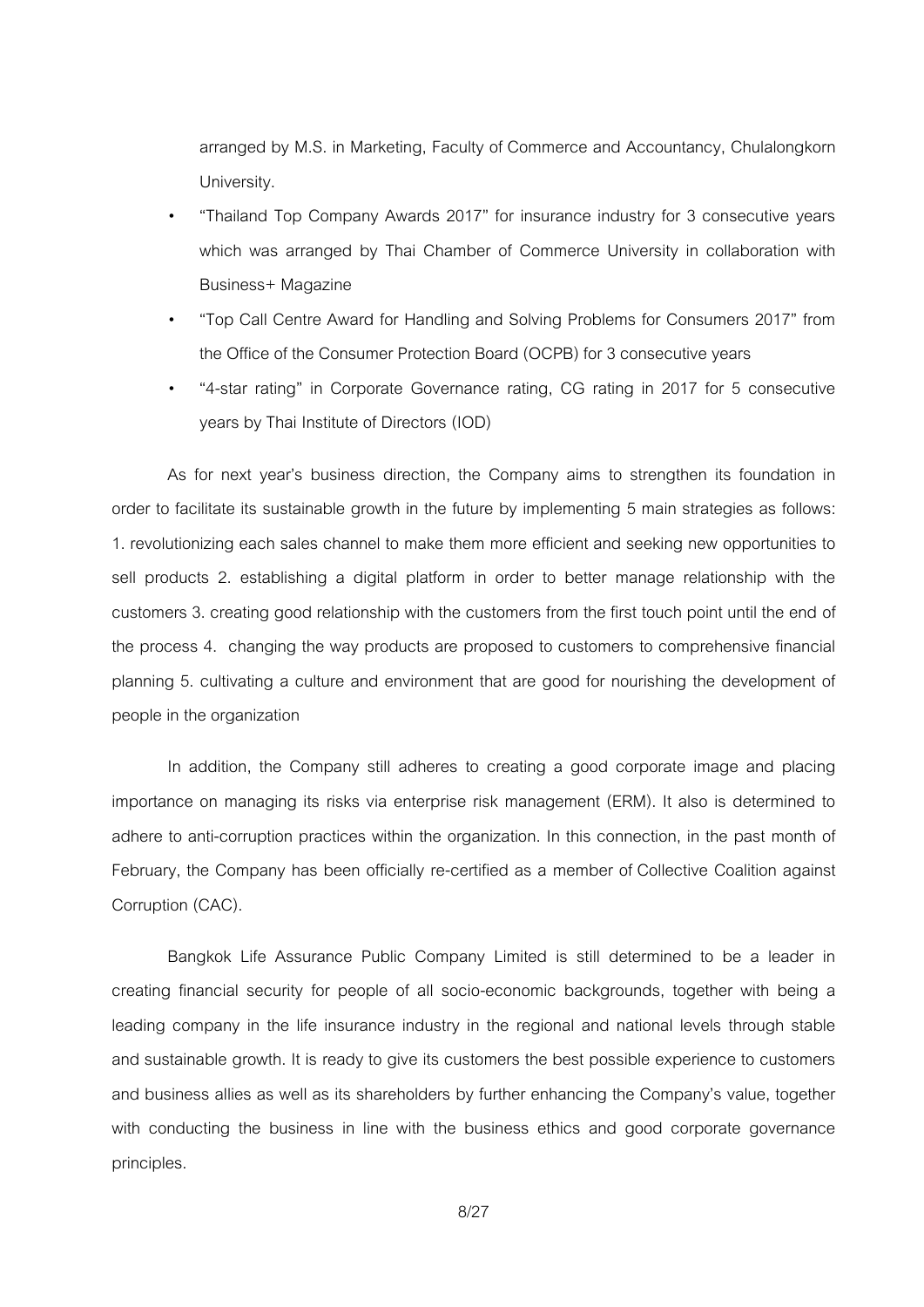arranged by M.S. in Marketing, Faculty of Commerce and Accountancy, Chulalongkorn University.

- " 'Thailand Top Company Awards 2017' for insurance industry for 3 consecutive years which was arranged by Thai Chamber of Commerce University in collaboration with Business+ Magazine
- " 'Top Call Centre Award for Handling and Solving Problems for Consumers 2017' from the Office of the Consumer Protection Board (OCPB) for 3 consecutive years
- " '4-star rating' in Corporate Governance rating, CG rating in 2017 for 5 consecutive years by Thai Institute of Directors (IOD)

As for next year's business direction, the Company aims to strengthen its foundation in order to facilitate its sustainable growth in the future by implementing 5 main strategies as follows: 1. revolutionizing each sales channel to make them more efficient and seeking new opportunities to sell products 2. establishing a digital platform in order to better manage relationship with the customers 3. creating good relationship with the customers from the first touch point until the end of the process 4. changing the way products are proposed to customers to comprehensive financial planning 5. cultivating a culture and environment that are good for nourishing the development of people in the organization

In addition, the Company still adheres to creating a good corporate image and placing importance on managing its risks via enterprise risk management (ERM). It also is determined to adhere to anti-corruption practices within the organization. In this connection, in the past month of February, the Company has been officially re-certified as a member of Collective Coalition against Corruption (CAC).

Bangkok Life Assurance Public Company Limited is still determined to be a leader in creating financial security for people of all socio-economic backgrounds, together with being a leading company in the life insurance industry in the regional and national levels through stable and sustainable growth. It is ready to give its customers the best possible experience to customers and business allies as well as its shareholders by further enhancing the Company's value, together with conducting the business in line with the business ethics and good corporate governance principles.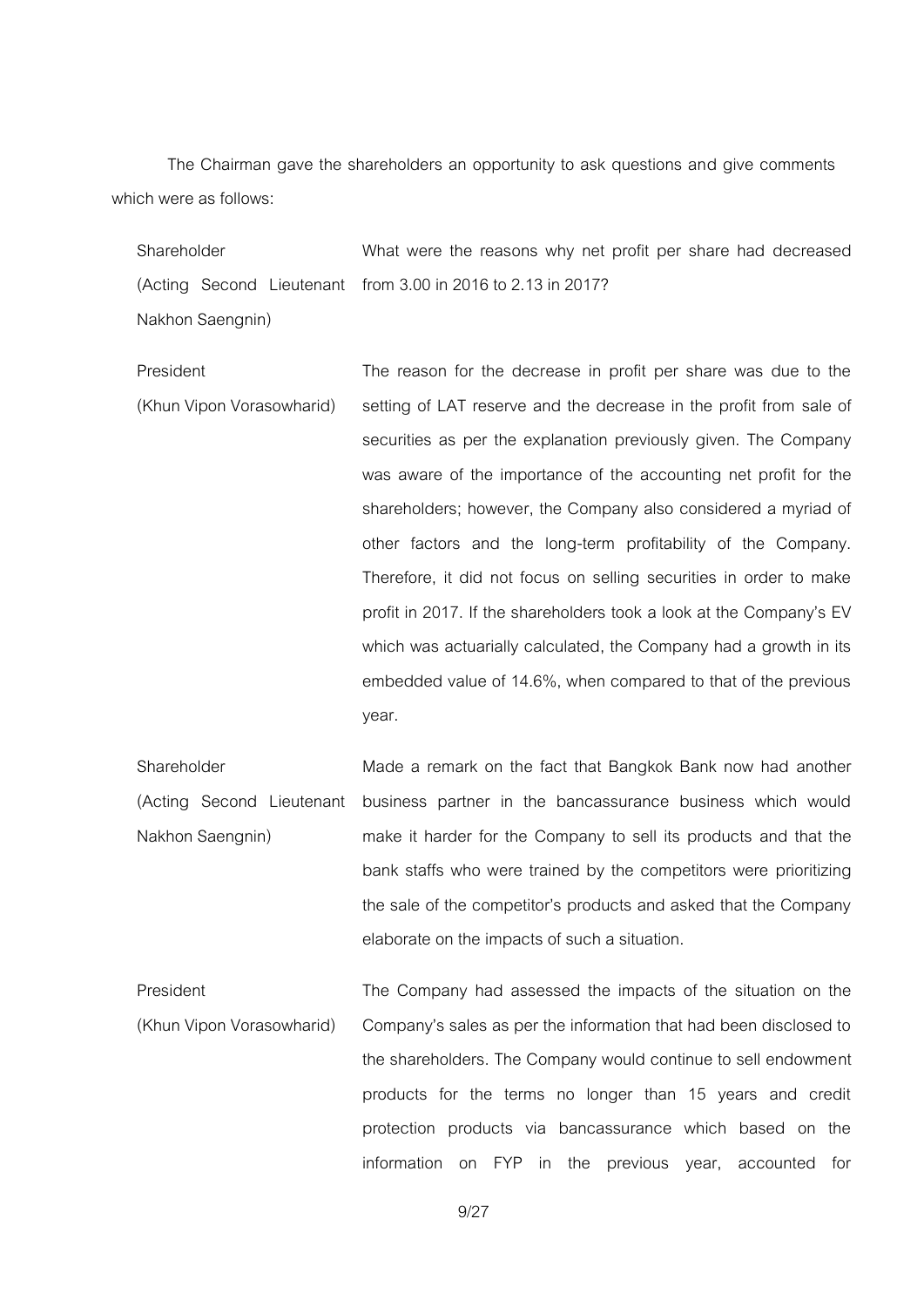The Chairman gave the shareholders an opportunity to ask questions and give comments which were as follows:

| Shareholder      | What were the reasons why net profit per share had decreased |
|------------------|--------------------------------------------------------------|
|                  | (Acting Second Lieutenant from 3.00 in 2016 to 2.13 in 2017? |
| Nakhon Saengnin) |                                                              |

President (Khun Vipon Vorasowharid) The reason for the decrease in profit per share was due to the setting of LAT reserve and the decrease in the profit from sale of securities as per the explanation previously given. The Company was aware of the importance of the accounting net profit for the shareholders; however, the Company also considered a myriad of other factors and the long-term profitability of the Company. Therefore, it did not focus on selling securities in order to make profit in 2017. If the shareholders took a look at the Company's EV which was actuarially calculated, the Company had a growth in its embedded value of 14.6%, when compared to that of the previous year.

Shareholder (Acting Second Lieutenant Nakhon Saengnin) Made a remark on the fact that Bangkok Bank now had another business partner in the bancassurance business which would make it harder for the Company to sell its products and that the bank staffs who were trained by the competitors were prioritizing the sale of the competitor's products and asked that the Company elaborate on the impacts of such a situation.

President (Khun Vipon Vorasowharid) The Company had assessed the impacts of the situation on the Company's sales as per the information that had been disclosed to the shareholders. The Company would continue to sell endowment products for the terms no longer than 15 years and credit protection products via bancassurance which based on the information on FYP in the previous year, accounted for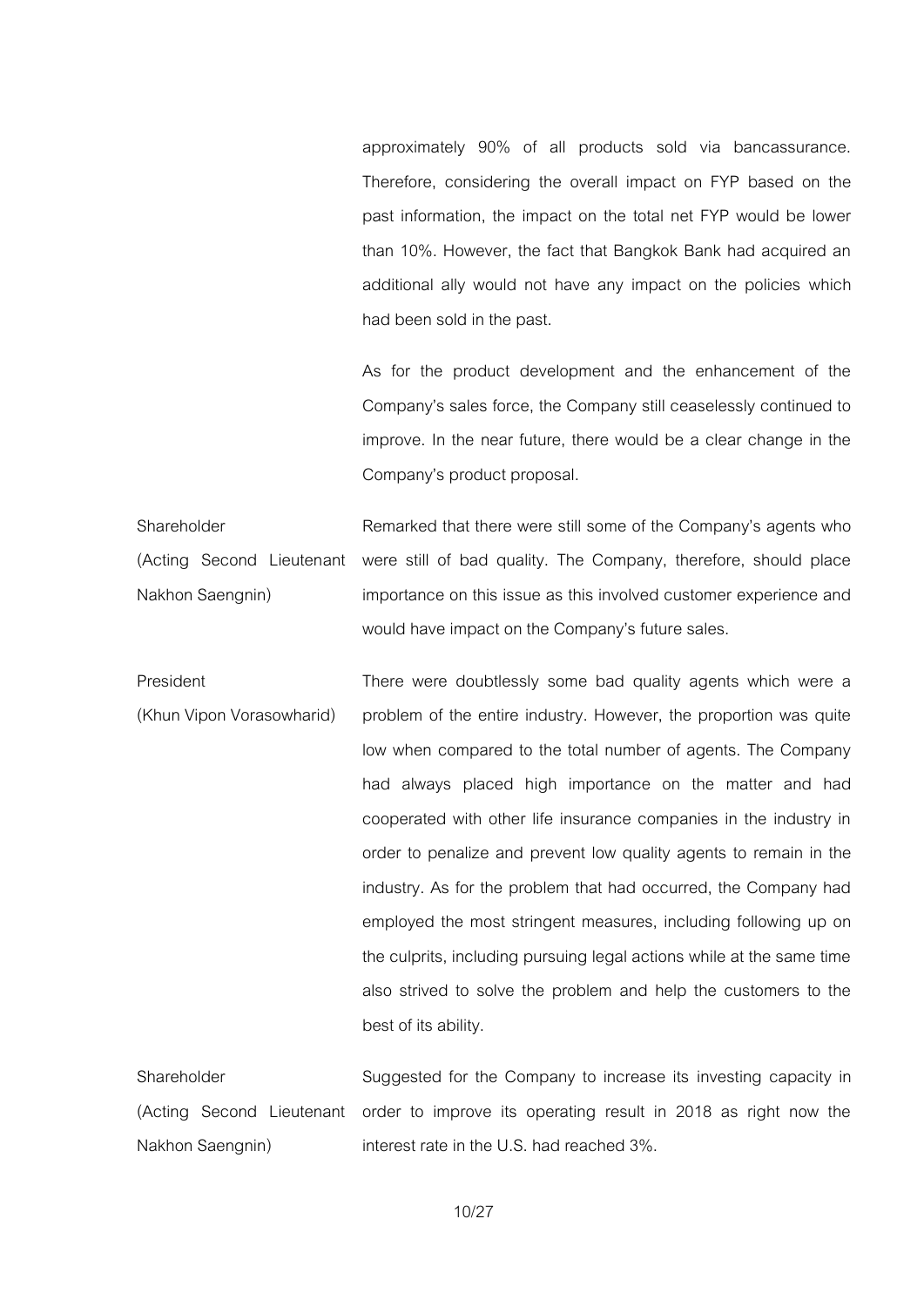approximately 90% of all products sold via bancassurance. Therefore, considering the overall impact on FYP based on the past information, the impact on the total net FYP would be lower than 10%. However, the fact that Bangkok Bank had acquired an additional ally would not have any impact on the policies which had been sold in the past.

As for the product development and the enhancement of the Company's sales force, the Company still ceaselessly continued to improve. In the near future, there would be a clear change in the Company's product proposal.

Shareholder (Acting Second Lieutenant Nakhon Saengnin) Remarked that there were still some of the Company's agents who were still of bad quality. The Company, therefore, should place importance on this issue as this involved customer experience and would have impact on the Company's future sales.

President (Khun Vipon Vorasowharid) There were doubtlessly some bad quality agents which were a problem of the entire industry. However, the proportion was quite low when compared to the total number of agents. The Company had always placed high importance on the matter and had cooperated with other life insurance companies in the industry in order to penalize and prevent low quality agents to remain in the industry. As for the problem that had occurred, the Company had employed the most stringent measures, including following up on the culprits, including pursuing legal actions while at the same time also strived to solve the problem and help the customers to the best of its ability.

**Shareholder** (Acting Second Lieutenant order to improve its operating result in 2018 as right now the Nakhon Saengnin) Suggested for the Company to increase its investing capacity in interest rate in the U.S. had reached 3%.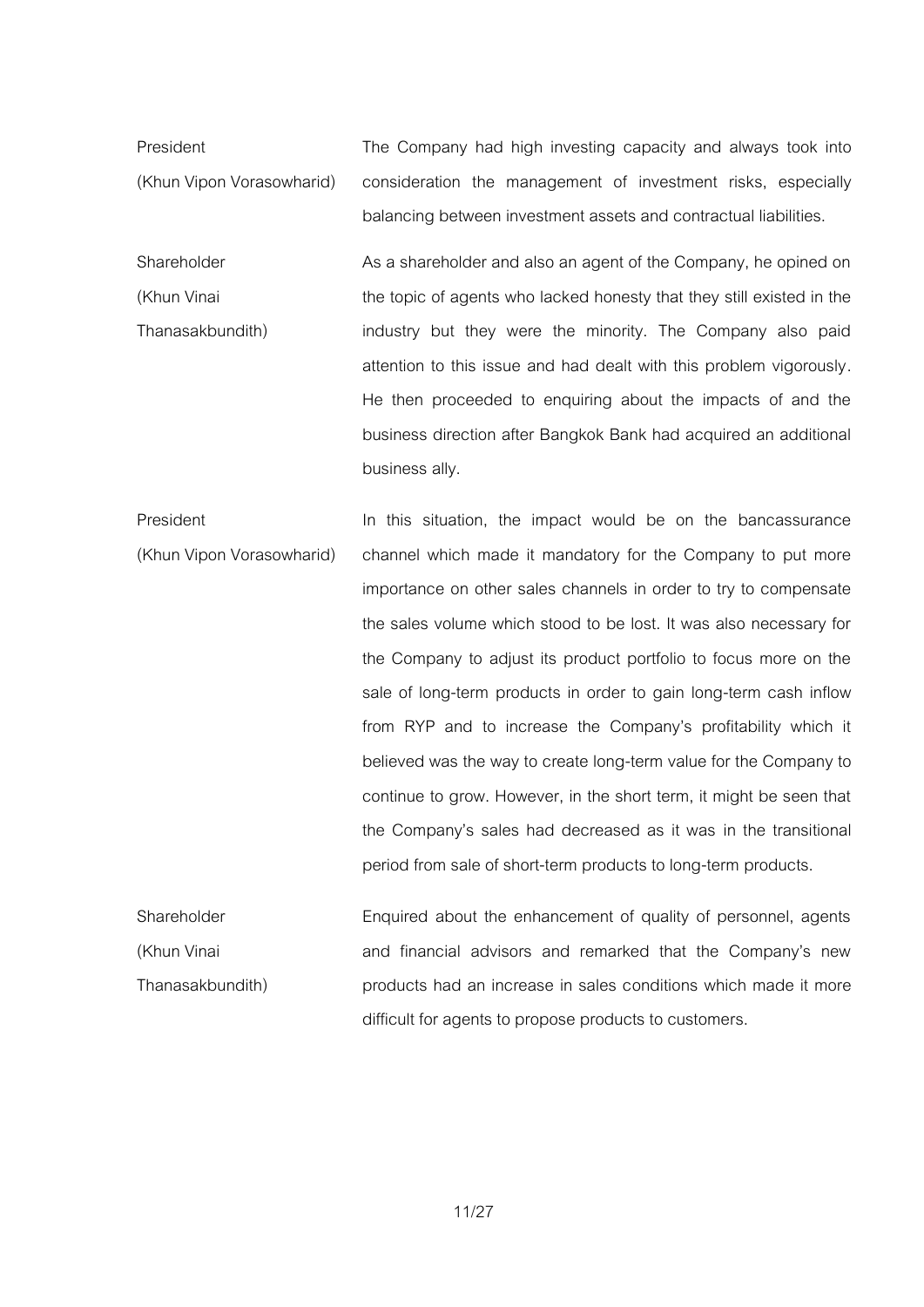President (Khun Vipon Vorasowharid) The Company had high investing capacity and always took into consideration the management of investment risks, especially balancing between investment assets and contractual liabilities.

Shareholder (Khun Vinai Thanasakbundith) As a shareholder and also an agent of the Company, he opined on the topic of agents who lacked honesty that they still existed in the industry but they were the minority. The Company also paid attention to this issue and had dealt with this problem vigorously. He then proceeded to enquiring about the impacts of and the business direction after Bangkok Bank had acquired an additional business ally.

President (Khun Vipon Vorasowharid) In this situation, the impact would be on the bancassurance channel which made it mandatory for the Company to put more importance on other sales channels in order to try to compensate the sales volume which stood to be lost. It was also necessary for the Company to adjust its product portfolio to focus more on the sale of long-term products in order to gain long-term cash inflow from RYP and to increase the Company's profitability which it believed was the way to create long-term value for the Company to continue to grow. However, in the short term, it might be seen that the Company's sales had decreased as it was in the transitional period from sale of short-term products to long-term products.

Shareholder (Khun Vinai Thanasakbundith) Enquired about the enhancement of quality of personnel, agents and financial advisors and remarked that the Company's new products had an increase in sales conditions which made it more difficult for agents to propose products to customers.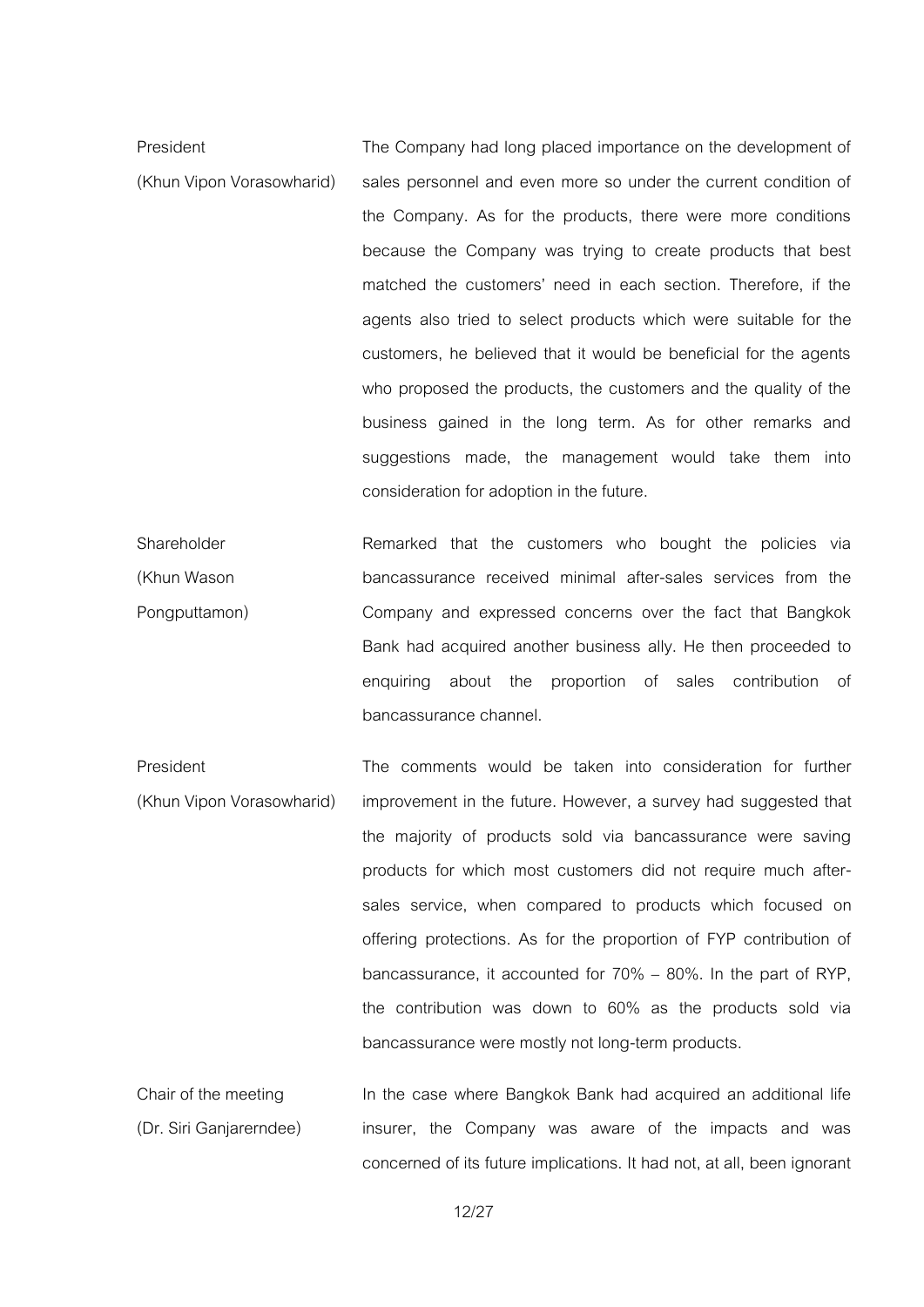President (Khun Vipon Vorasowharid) The Company had long placed importance on the development of sales personnel and even more so under the current condition of the Company. As for the products, there were more conditions because the Company was trying to create products that best matched the customers' need in each section. Therefore, if the agents also tried to select products which were suitable for the customers, he believed that it would be beneficial for the agents who proposed the products, the customers and the quality of the business gained in the long term. As for other remarks and suggestions made, the management would take them into consideration for adoption in the future.

Shareholder (Khun Wason Pongputtamon) Remarked that the customers who bought the policies via bancassurance received minimal after-sales services from the Company and expressed concerns over the fact that Bangkok Bank had acquired another business ally. He then proceeded to enquiring about the proportion of sales contribution of bancassurance channel.

President (Khun Vipon Vorasowharid) The comments would be taken into consideration for further improvement in the future. However, a survey had suggested that the majority of products sold via bancassurance were saving products for which most customers did not require much aftersales service, when compared to products which focused on offering protections. As for the proportion of FYP contribution of bancassurance, it accounted for  $70\% - 80\%$ . In the part of RYP, the contribution was down to 60% as the products sold via bancassurance were mostly not long-term products.

Chair of the meeting (Dr. Siri Ganjarerndee) In the case where Bangkok Bank had acquired an additional life insurer, the Company was aware of the impacts and was concerned of its future implications. It had not, at all, been ignorant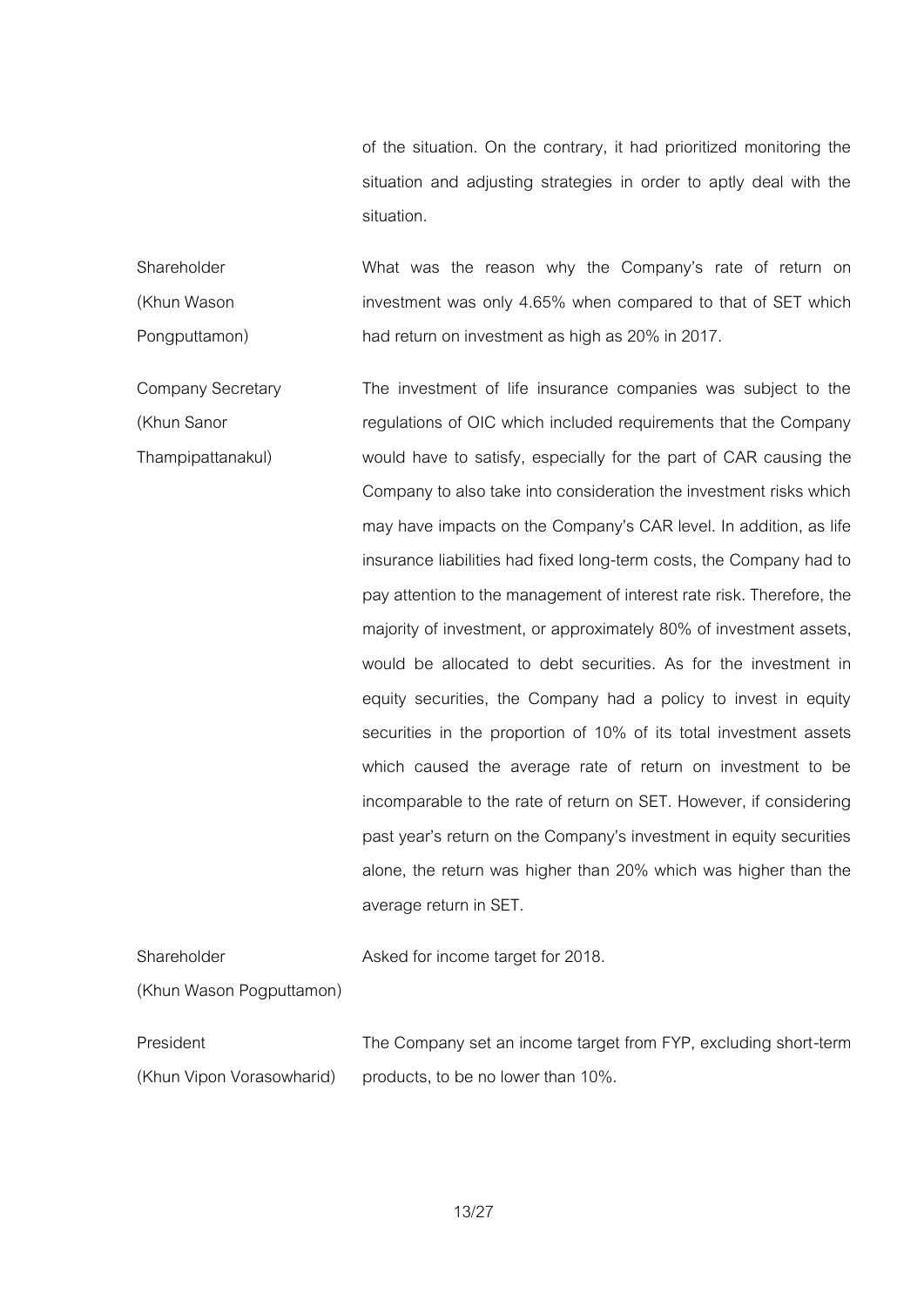of the situation. On the contrary, it had prioritized monitoring the situation and adjusting strategies in order to aptly deal with the situation.

Shareholder (Khun Wason Pongputtamon) What was the reason why the Company's rate of return on investment was only 4.65% when compared to that of SET which had return on investment as high as 20% in 2017.

Company Secretary (Khun Sanor Thampipattanakul) The investment of life insurance companies was subject to the regulations of OIC which included requirements that the Company would have to satisfy, especially for the part of CAR causing the Company to also take into consideration the investment risks which may have impacts on the Company's CAR level. In addition, as life insurance liabilities had fixed long-term costs, the Company had to pay attention to the management of interest rate risk. Therefore, the majority of investment, or approximately 80% of investment assets, would be allocated to debt securities. As for the investment in equity securities, the Company had a policy to invest in equity securities in the proportion of 10% of its total investment assets which caused the average rate of return on investment to be incomparable to the rate of return on SET. However, if considering past year's return on the Company's investment in equity securities alone, the return was higher than 20% which was higher than the average return in SET.

Shareholder (Khun Wason Pogputtamon) Asked for income target for 2018.

President (Khun Vipon Vorasowharid) The Company set an income target from FYP, excluding short-term products, to be no lower than 10%.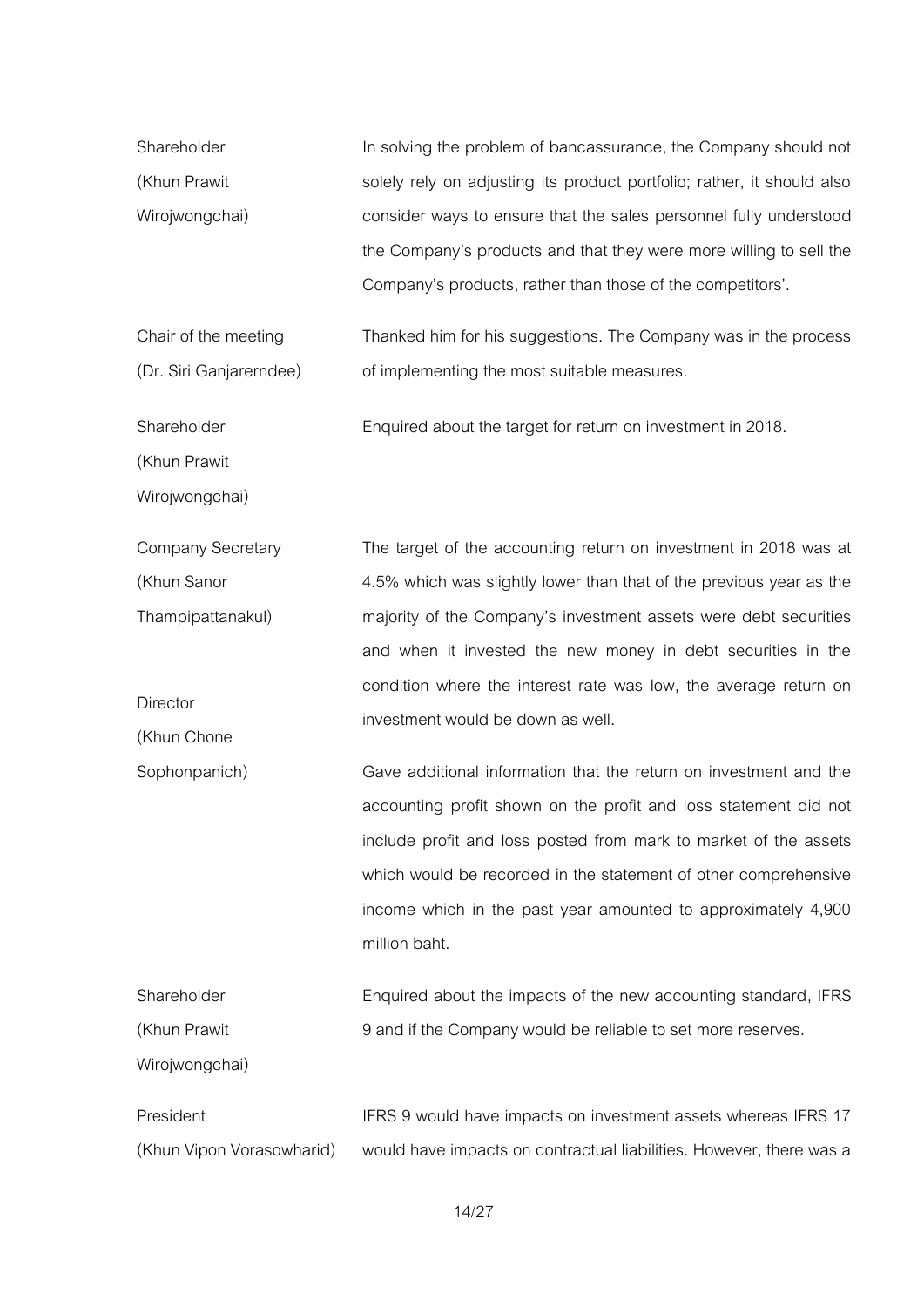| Shareholder    | In solving the problem of bancassurance, the Company should not        |
|----------------|------------------------------------------------------------------------|
| (Khun Prawit   | solely rely on adjusting its product portfolio; rather, it should also |
| Wirojwongchai) | consider ways to ensure that the sales personnel fully understood      |
|                | the Company's products and that they were more willing to sell the     |
|                | Company's products, rather than those of the competitors'.             |

Chair of the meeting (Dr. Siri Ganjarerndee) Thanked him for his suggestions. The Company was in the process of implementing the most suitable measures.

Enquired about the target for return on investment in 2018.

Shareholder

(Khun Prawit

Wirojwongchai)

Company Secretary (Khun Sanor Thampipattanakul) **Director** (Khun Chone The target of the accounting return on investment in 2018 was at 4.5% which was slightly lower than that of the previous year as the majority of the Company's investment assets were debt securities and when it invested the new money in debt securities in the condition where the interest rate was low, the average return on investment would be down as well.

Sophonpanich) Gave additional information that the return on investment and the accounting profit shown on the profit and loss statement did not include profit and loss posted from mark to market of the assets which would be recorded in the statement of other comprehensive income which in the past year amounted to approximately 4,900 million baht.

Shareholder (Khun Prawit Wiroiwongchai) Enquired about the impacts of the new accounting standard, IFRS 9 and if the Company would be reliable to set more reserves.

President (Khun Vipon Vorasowharid) IFRS 9 would have impacts on investment assets whereas IFRS 17 would have impacts on contractual liabilities. However, there was a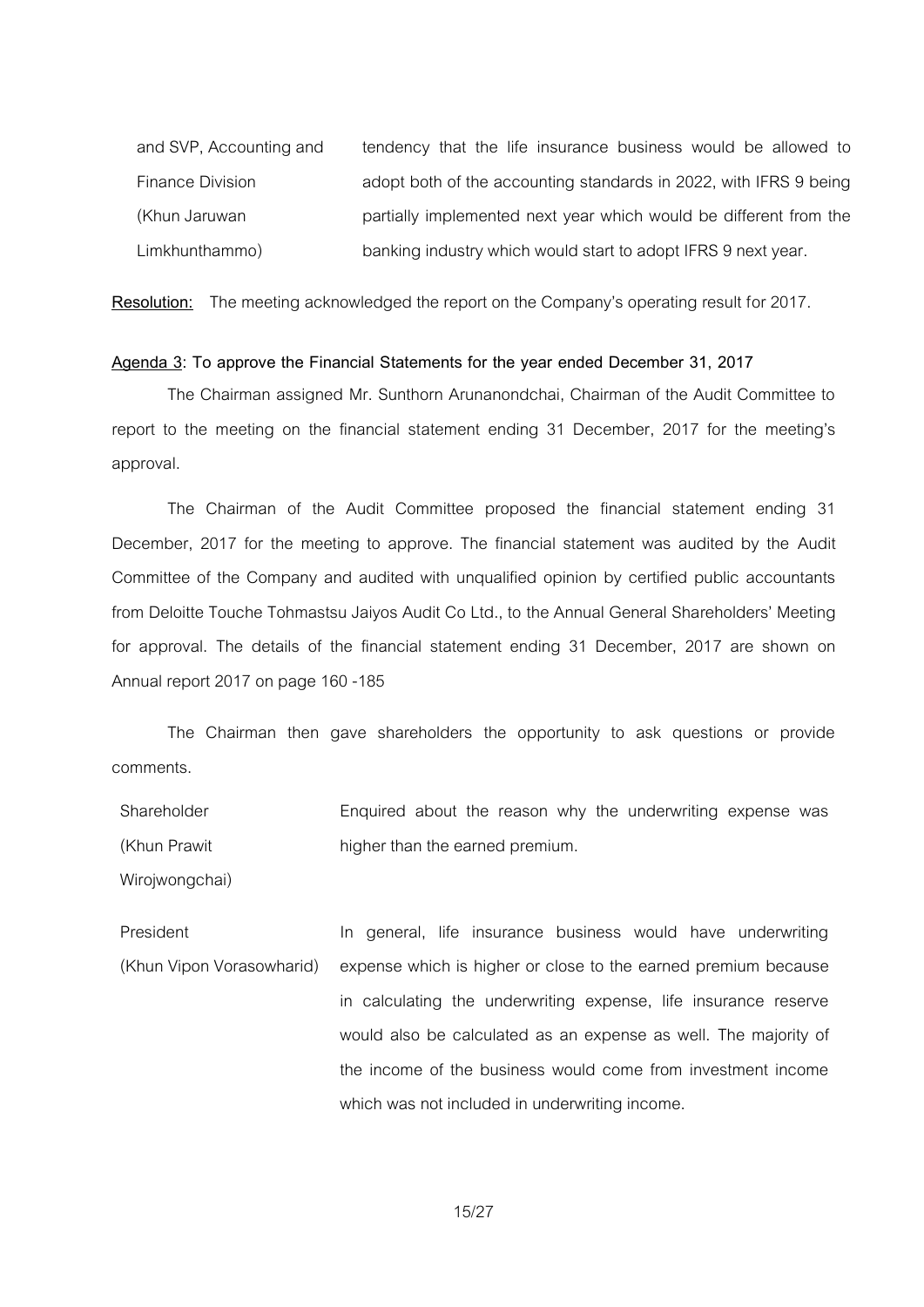| and SVP, Accounting and | tendency that the life insurance business would be allowed to     |
|-------------------------|-------------------------------------------------------------------|
| Finance Division        | adopt both of the accounting standards in 2022, with IFRS 9 being |
| (Khun Jaruwan           | partially implemented next year which would be different from the |
| Limkhunthammo)          | banking industry which would start to adopt IFRS 9 next year.     |

**Resolution:** The meeting acknowledged the report on the Company's operating result for 2017.

#### **Agenda 3: To approve the Financial Statements for the year ended December 31, 2017**

The Chairman assigned Mr. Sunthorn Arunanondchai, Chairman of the Audit Committee to report to the meeting on the financial statement ending 31 December, 2017 for the meeting's approval.

The Chairman of the Audit Committee proposed the financial statement ending 31 December, 2017 for the meeting to approve. The financial statement was audited by the Audit Committee of the Company and audited with unqualified opinion by certified public accountants from Deloitte Touche Tohmastsu Jaiyos Audit Co Ltd., to the Annual General Shareholders' Meeting for approval. The details of the financial statement ending 31 December, 2017 are shown on Annual report 2017 on page 160 -185

The Chairman then gave shareholders the opportunity to ask questions or provide comments.

Shareholder (Khun Prawit Enquired about the reason why the underwriting expense was higher than the earned premium.

Wiroiwongchai)

President (Khun Vipon Vorasowharid) In general, life insurance business would have underwriting expense which is higher or close to the earned premium because in calculating the underwriting expense, life insurance reserve would also be calculated as an expense as well. The majority of the income of the business would come from investment income which was not included in underwriting income.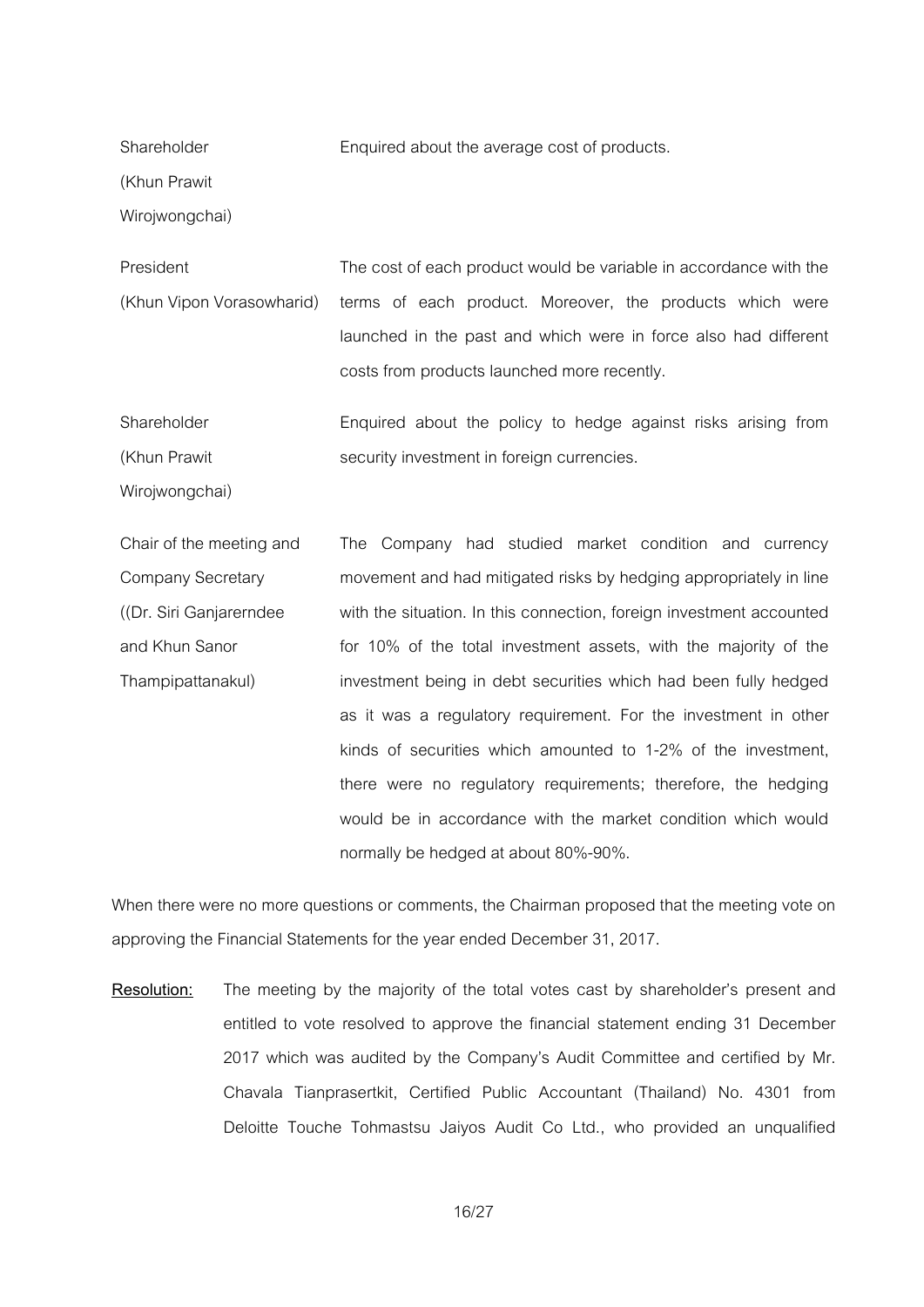Enquired about the average cost of products.

**Shareholder** 

(Khun Prawit

Wirojwongchai)

President (Khun Vipon Vorasowharid) The cost of each product would be variable in accordance with the terms of each product. Moreover, the products which were launched in the past and which were in force also had different costs from products launched more recently.

**Shareholder** (Khun Prawit Enquired about the policy to hedge against risks arising from security investment in foreign currencies.

Wiroiwongchai)

Chair of the meeting and Company Secretary ((Dr. Siri Ganjarerndee and Khun Sanor Thampipattanakul) The Company had studied market condition and currency movement and had mitigated risks by hedging appropriately in line with the situation. In this connection, foreign investment accounted for 10% of the total investment assets, with the majority of the investment being in debt securities which had been fully hedged as it was a regulatory requirement. For the investment in other kinds of securities which amounted to 1-2% of the investment, there were no regulatory requirements; therefore, the hedging would be in accordance with the market condition which would normally be hedged at about 80%-90%.

When there were no more questions or comments, the Chairman proposed that the meeting vote on approving the Financial Statements for the year ended December 31, 2017.

**Resolution:** The meeting by the majority of the total votes cast by shareholder's present and entitled to vote resolved to approve the financial statement ending 31 December 2017 which was audited by the Company's Audit Committee and certified by Mr. Chavala Tianprasertkit, Certified Public Accountant (Thailand) No. 4301 from Deloitte Touche Tohmastsu Jaiyos Audit Co Ltd., who provided an unqualified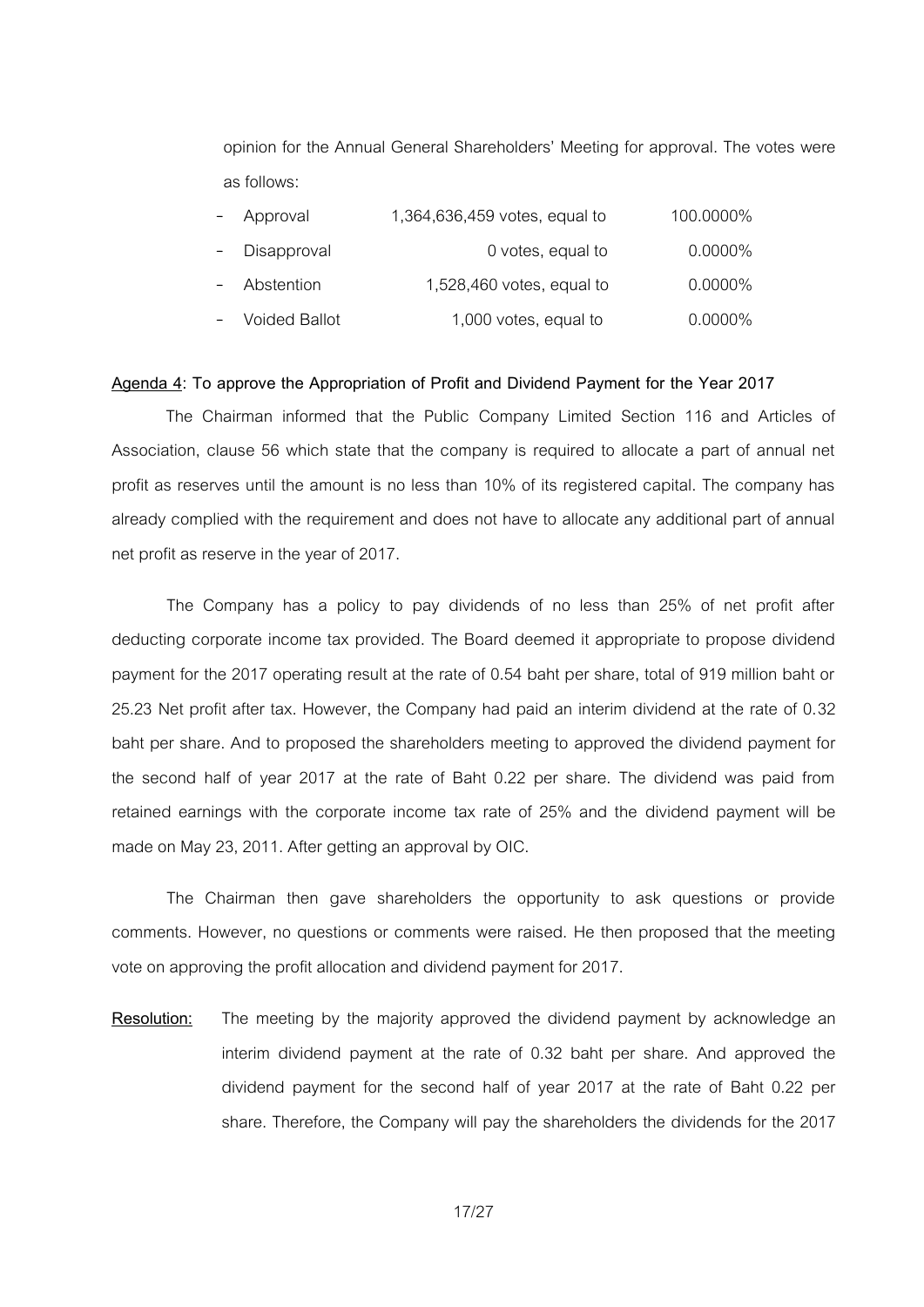opinion for the Annual General Shareholders' Meeting for approval. The votes were as follows:

| Approval      | 1,364,636,459 votes, equal to | 100.0000%  |
|---------------|-------------------------------|------------|
| - Disapproval | 0 votes, equal to             | $0.0000\%$ |
| Abstention    | 1,528,460 votes, equal to     | $0.0000\%$ |
| Voided Ballot | 1,000 votes, equal to         | $0.0000\%$ |

### **Agenda 4: To approve the Appropriation of Profit and Dividend Payment for the Year 2017**

 The Chairman informed that the Public Company Limited Section 116 and Articles of Association, clause 56 which state that the company is required to allocate a part of annual net profit as reserves until the amount is no less than 10% of its registered capital. The company has already complied with the requirement and does not have to allocate any additional part of annual net profit as reserve in the year of 2017.

The Company has a policy to pay dividends of no less than 25% of net profit after deducting corporate income tax provided. The Board deemed it appropriate to propose dividend payment for the 2017 operating result at the rate of 0.54 baht per share, total of 919 million baht or 25.23 Net profit after tax. However, the Company had paid an interim dividend at the rate of 0.32 baht per share. And to proposed the shareholders meeting to approved the dividend payment for the second half of year 2017 at the rate of Baht 0.22 per share. The dividend was paid from retained earnings with the corporate income tax rate of 25% and the dividend payment will be made on May 23, 2011. After getting an approval by OIC.

The Chairman then gave shareholders the opportunity to ask questions or provide comments. However, no questions or comments were raised. He then proposed that the meeting vote on approving the profit allocation and dividend payment for 2017.

**Resolution:** The meeting by the majority approved the dividend payment by acknowledge an interim dividend payment at the rate of 0.32 baht per share. And approved the dividend payment for the second half of year 2017 at the rate of Baht 0.22 per share. Therefore, the Company will pay the shareholders the dividends for the 2017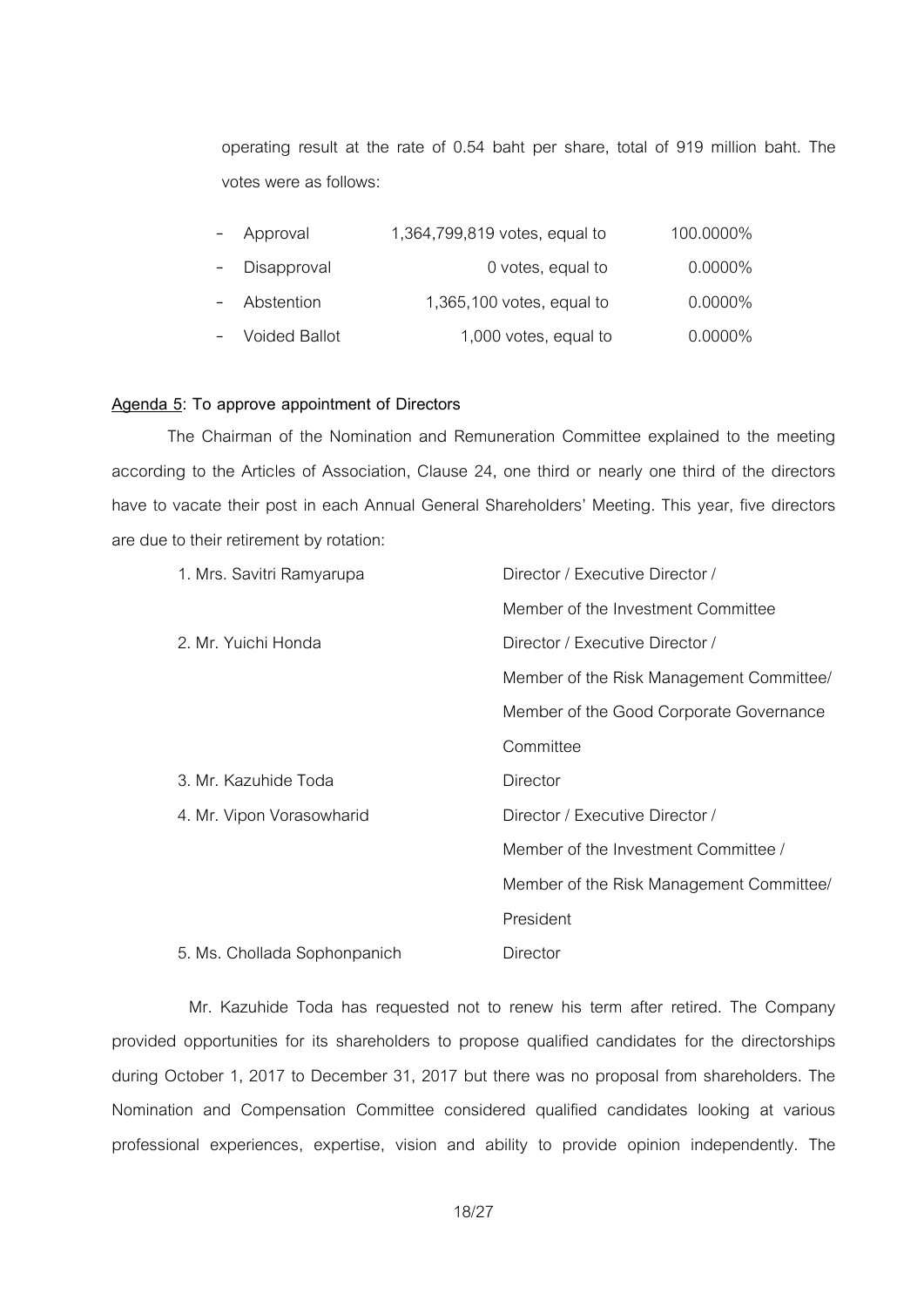operating result at the rate of 0.54 baht per share, total of 919 million baht. The votes were as follows:

| $\sim$ | Approval        | 1,364,799,819 votes, equal to | 100.0000%  |
|--------|-----------------|-------------------------------|------------|
|        | - Disapproval   | 0 votes, equal to             | $0.0000\%$ |
|        | - Abstention    | $1,365,100$ votes, equal to   | $0.0000\%$ |
|        | - Voided Ballot | 1,000 votes, equal to         | $0.0000\%$ |

## **Agenda 5: To approve appointment of Directors**

The Chairman of the Nomination and Remuneration Committee explained to the meeting according to the Articles of Association, Clause 24, one third or nearly one third of the directors have to vacate their post in each Annual General Shareholders' Meeting. This year, five directors are due to their retirement by rotation:

| 1. Mrs. Savitri Ramyarupa    | Director / Executive Director /          |
|------------------------------|------------------------------------------|
|                              | Member of the Investment Committee       |
| 2. Mr. Yuichi Honda          | Director / Executive Director /          |
|                              | Member of the Risk Management Committee/ |
|                              | Member of the Good Corporate Governance  |
|                              | Committee                                |
| 3. Mr. Kazuhide Toda         | Director                                 |
| 4. Mr. Vipon Vorasowharid    | Director / Executive Director /          |
|                              | Member of the Investment Committee /     |
|                              | Member of the Risk Management Committee/ |
|                              | President                                |
| 5. Ms. Chollada Sophonpanich | Director                                 |

Mr. Kazuhide Toda has requested not to renew his term after retired. The Company provided opportunities for its shareholders to propose qualified candidates for the directorships during October 1, 2017 to December 31, 2017 but there was no proposal from shareholders. The Nomination and Compensation Committee considered qualified candidates looking at various professional experiences, expertise, vision and ability to provide opinion independently. The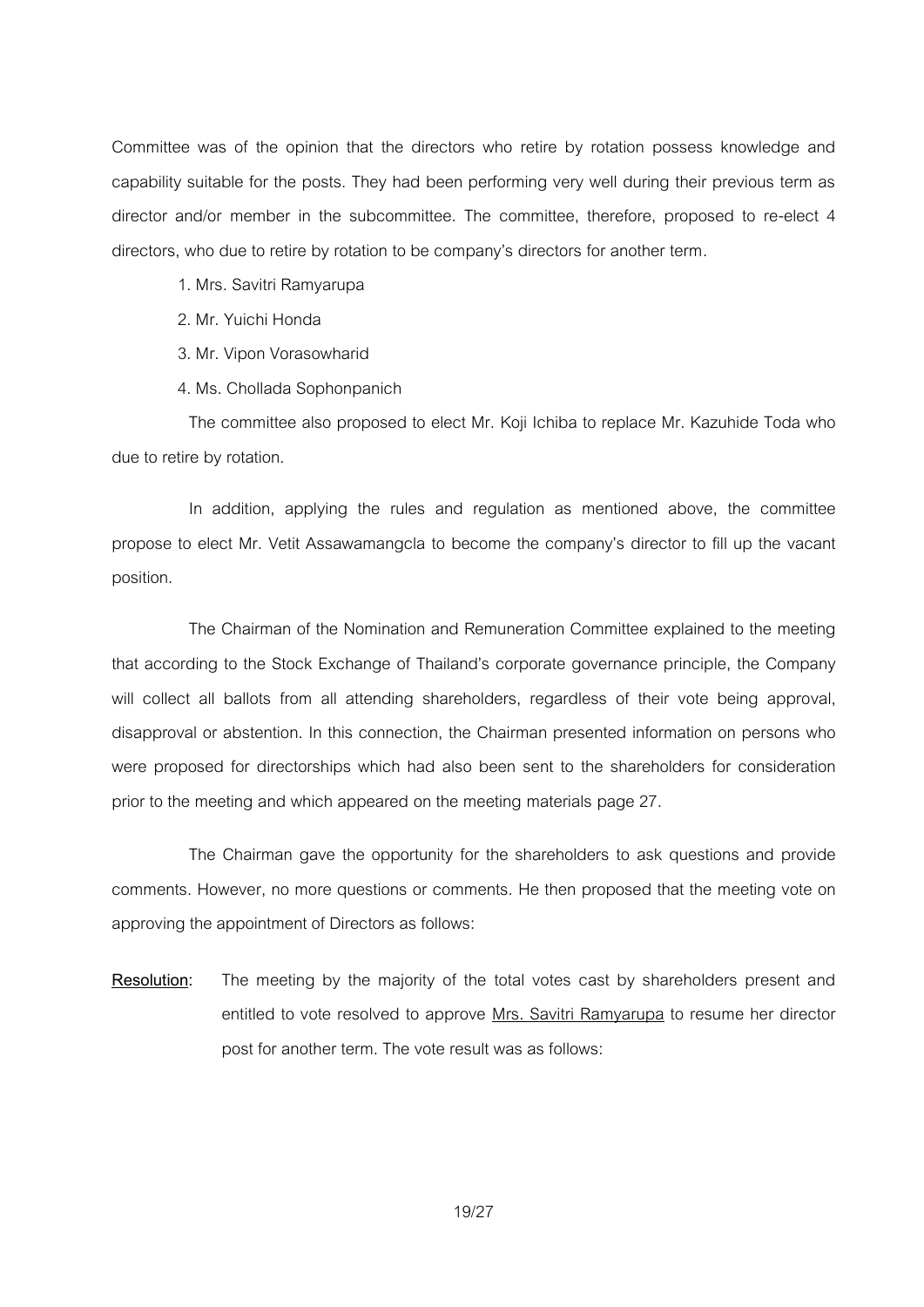Committee was of the opinion that the directors who retire by rotation possess knowledge and capability suitable for the posts. They had been performing very well during their previous term as director and/or member in the subcommittee. The committee, therefore, proposed to re-elect 4 directors, who due to retire by rotation to be company's directors for another term.

- 1. Mrs. Savitri Ramyarupa
- 2. Mr. Yuichi Honda
- 3. Mr. Vipon Vorasowharid
- 4. Ms. Chollada Sophonpanich

The committee also proposed to elect Mr. Koji Ichiba to replace Mr. Kazuhide Toda who due to retire by rotation.

In addition, applying the rules and regulation as mentioned above, the committee propose to elect Mr. Vetit Assawamangcla to become the company's director to fill up the vacant position.

The Chairman of the Nomination and Remuneration Committee explained to the meeting that according to the Stock Exchange of Thailand's corporate governance principle, the Company will collect all ballots from all attending shareholders, regardless of their vote being approval, disapproval or abstention. In this connection, the Chairman presented information on persons who were proposed for directorships which had also been sent to the shareholders for consideration prior to the meeting and which appeared on the meeting materials page 27.

The Chairman gave the opportunity for the shareholders to ask questions and provide comments. However, no more questions or comments. He then proposed that the meeting vote on approving the appointment of Directors as follows:

**Resolution:** The meeting by the majority of the total votes cast by shareholders present and entitled to vote resolved to approve Mrs. Savitri Ramyarupa to resume her director post for another term. The vote result was as follows: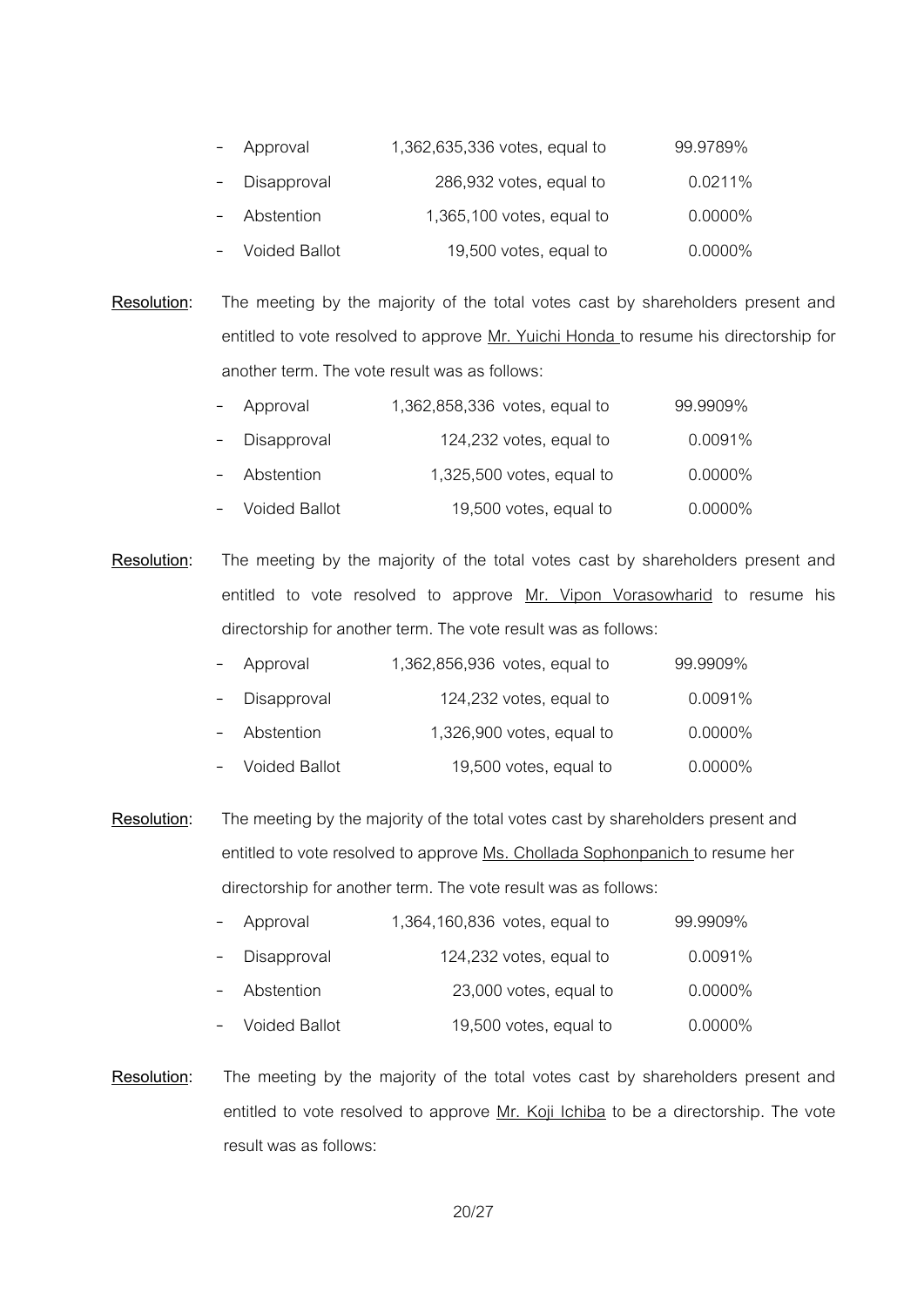| Approval      | 1,362,635,336 votes, equal to | 99.9789%   |
|---------------|-------------------------------|------------|
| Disapproval   | 286,932 votes, equal to       | 0.0211%    |
| Abstention    | $1,365,100$ votes, equal to   | $0.0000\%$ |
| Voided Ballot | 19,500 votes, equal to        | $0.0000\%$ |

**Resolution:** The meeting by the majority of the total votes cast by shareholders present and entitled to vote resolved to approve Mr. Yuichi Honda to resume his directorship for another term. The vote result was as follows:

| $\overline{\phantom{0}}$ | Approval        | 1,362,858,336 votes, equal to | 99.9909%   |
|--------------------------|-----------------|-------------------------------|------------|
| $\sim$                   | Disapproval     | 124,232 votes, equal to       | 0.0091%    |
|                          | - Abstention    | $1,325,500$ votes, equal to   | $0.0000\%$ |
|                          | - Voided Ballot | 19,500 votes, equal to        | $0.0000\%$ |

**Resolution:** The meeting by the majority of the total votes cast by shareholders present and entitled to vote resolved to approve Mr. Vipon Vorasowharid to resume his directorship for another term. The vote result was as follows:

| $-$ | Approval        | 1,362,856,936 votes, equal to | 99.9909%   |
|-----|-----------------|-------------------------------|------------|
| $-$ | Disapproval     | 124,232 votes, equal to       | 0.0091%    |
|     | - Abstention    | $1,326,900$ votes, equal to   | $0.0000\%$ |
|     | - Voided Ballot | 19,500 votes, equal to        | $0.0000\%$ |

**Resolution:** The meeting by the majority of the total votes cast by shareholders present and entitled to vote resolved to approve Ms. Chollada Sophonpanich to resume her directorship for another term. The vote result was as follows:

| - Approval      | 1,364,160,836 votes, equal to | 99.9909%   |
|-----------------|-------------------------------|------------|
| Disapproval     | 124,232 votes, equal to       | 0.0091%    |
| - Abstention    | 23,000 votes, equal to        | $0.0000\%$ |
| - Voided Ballot | 19,500 votes, equal to        | $0.0000\%$ |

**Resolution:** The meeting by the majority of the total votes cast by shareholders present and entitled to vote resolved to approve Mr. Koji Ichiba to be a directorship. The vote result was as follows: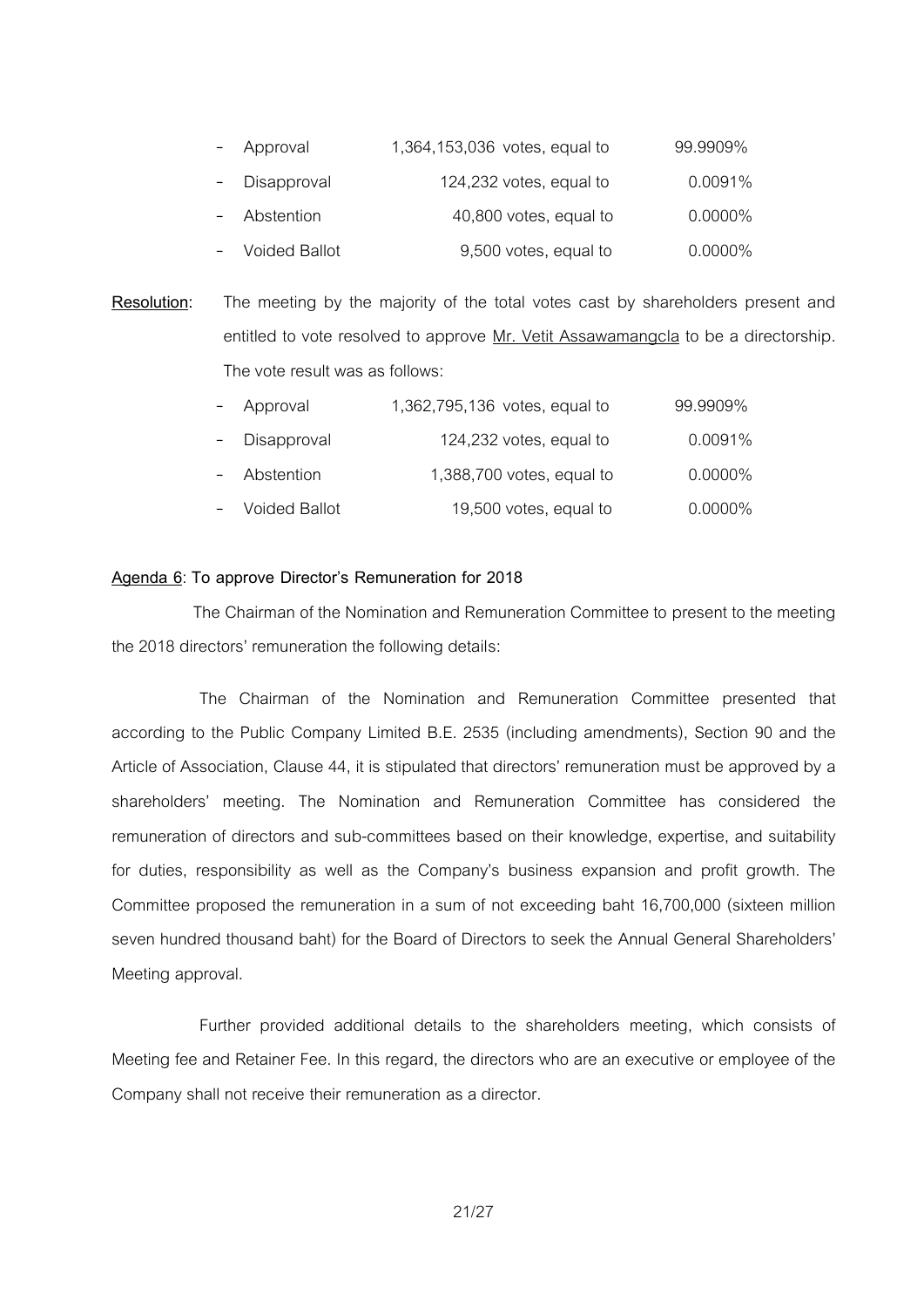| - Approval      | 1,364,153,036 votes, equal to | 99.9909%   |
|-----------------|-------------------------------|------------|
| - Disapproval   | 124,232 votes, equal to       | 0.0091%    |
| Abstention      | 40,800 votes, equal to        | $0.0000\%$ |
| - Voided Ballot | 9,500 votes, equal to         | $0.0000\%$ |

**Resolution:** The meeting by the majority of the total votes cast by shareholders present and entitled to vote resolved to approve Mr. Vetit Assawamangcla to be a directorship. The vote result was as follows:

| $\overline{\phantom{0}}$ | Approval        | 1,362,795,136 votes, equal to | 99.9909%   |
|--------------------------|-----------------|-------------------------------|------------|
| $\sim$                   | Disapproval     | 124,232 votes, equal to       | 0.0091%    |
|                          | - Abstention    | 1,388,700 votes, equal to     | $0.0000\%$ |
|                          | - Voided Ballot | 19,500 votes, equal to        | $0.0000\%$ |

#### **Agenda 6**: **To approve Director's Remuneration for 2018**

The Chairman of the Nomination and Remuneration Committee to present to the meeting the 2018 directors' remuneration the following details:

The Chairman of the Nomination and Remuneration Committee presented that according to the Public Company Limited B.E. 2535 (including amendments), Section 90 and the Article of Association, Clause 44, it is stipulated that directors' remuneration must be approved by a shareholders' meeting. The Nomination and Remuneration Committee has considered the remuneration of directors and sub-committees based on their knowledge, expertise, and suitability for duties, responsibility as well as the Company's business expansion and profit growth. The Committee proposed the remuneration in a sum of not exceeding baht 16,700,000 (sixteen million seven hundred thousand baht) for the Board of Directors to seek the Annual General Shareholders' Meeting approval.

Further provided additional details to the shareholders meeting, which consists of Meeting fee and Retainer Fee. In this regard, the directors who are an executive or employee of the Company shall not receive their remuneration as a director.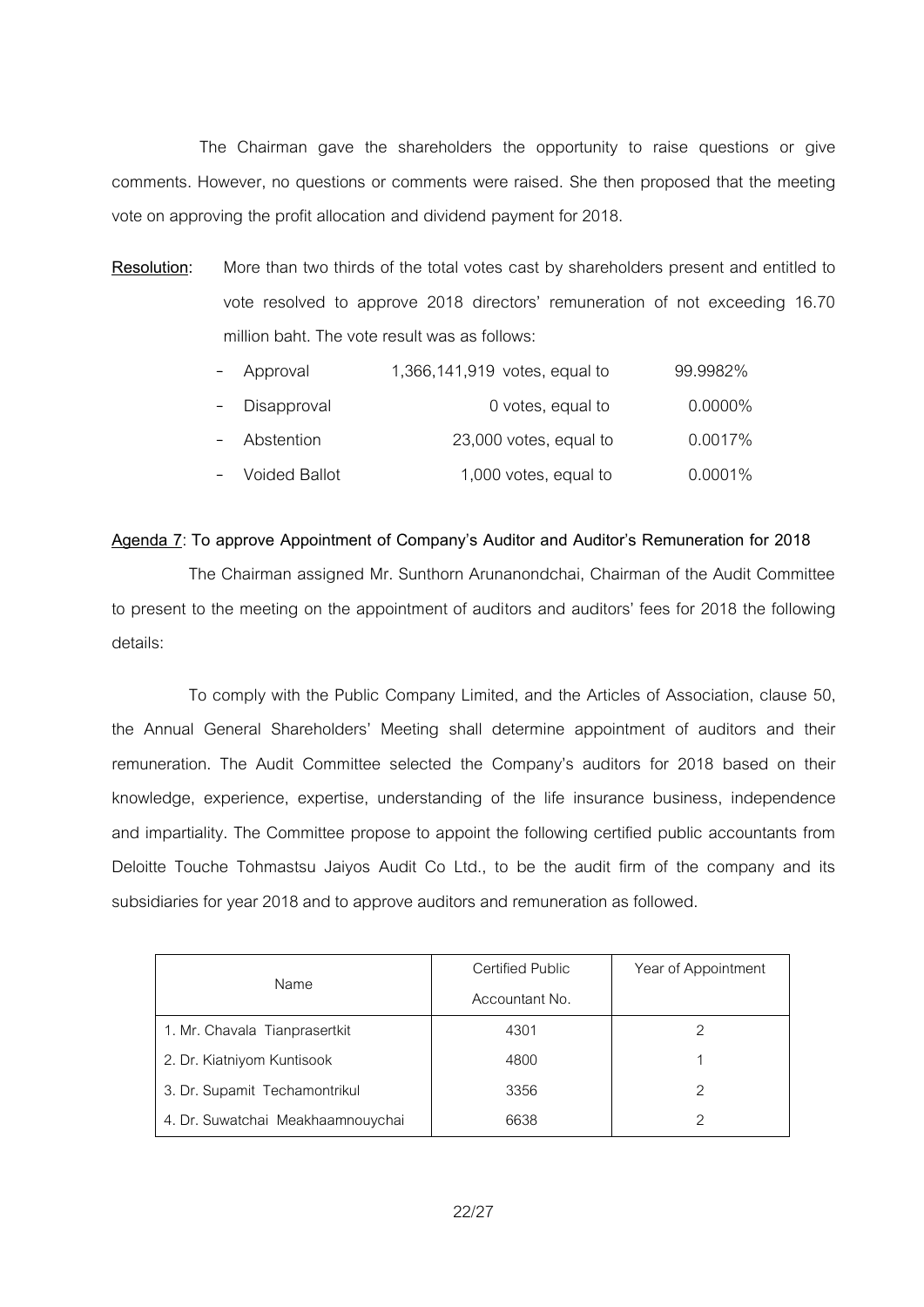The Chairman gave the shareholders the opportunity to raise questions or give comments. However, no questions or comments were raised. She then proposed that the meeting vote on approving the profit allocation and dividend payment for 2018.

**Resolution:** More than two thirds of the total votes cast by shareholders present and entitled to vote resolved to approve 2018 directors' remuneration of not exceeding 16.70 million baht. The vote result was as follows:

| $\overline{\phantom{0}}$ | Approval        | 1,366,141,919 votes, equal to | 99.9982%   |
|--------------------------|-----------------|-------------------------------|------------|
| $\overline{\phantom{0}}$ | Disapproval     | 0 votes, equal to             | $0.0000\%$ |
|                          | - Abstention    | 23,000 votes, equal to        | 0.0017%    |
|                          | - Voided Ballot | 1,000 votes, equal to         | $0.0001\%$ |

#### **Agenda 7**: **To approve Appointment of Company's Auditor and Auditor's Remuneration for 2018**

The Chairman assigned Mr. Sunthorn Arunanondchai, Chairman of the Audit Committee to present to the meeting on the appointment of auditors and auditors' fees for 2018 the following details:

To comply with the Public Company Limited, and the Articles of Association, clause 50, the Annual General Shareholders' Meeting shall determine appointment of auditors and their remuneration. The Audit Committee selected the Company's auditors for 2018 based on their knowledge, experience, expertise, understanding of the life insurance business, independence and impartiality. The Committee propose to appoint the following certified public accountants from Deloitte Touche Tohmastsu Jaiyos Audit Co Ltd., to be the audit firm of the company and its subsidiaries for year 2018 and to approve auditors and remuneration as followed.

|                                   | Certified Public | Year of Appointment |
|-----------------------------------|------------------|---------------------|
| Name                              | Accountant No.   |                     |
| 1. Mr. Chavala Tianprasertkit     | 4301             |                     |
| 2. Dr. Kiatniyom Kuntisook        | 4800             |                     |
| 3. Dr. Supamit Techamontrikul     | 3356             | 2                   |
| 4. Dr. Suwatchai Meakhaamnouychai | 6638             | っ                   |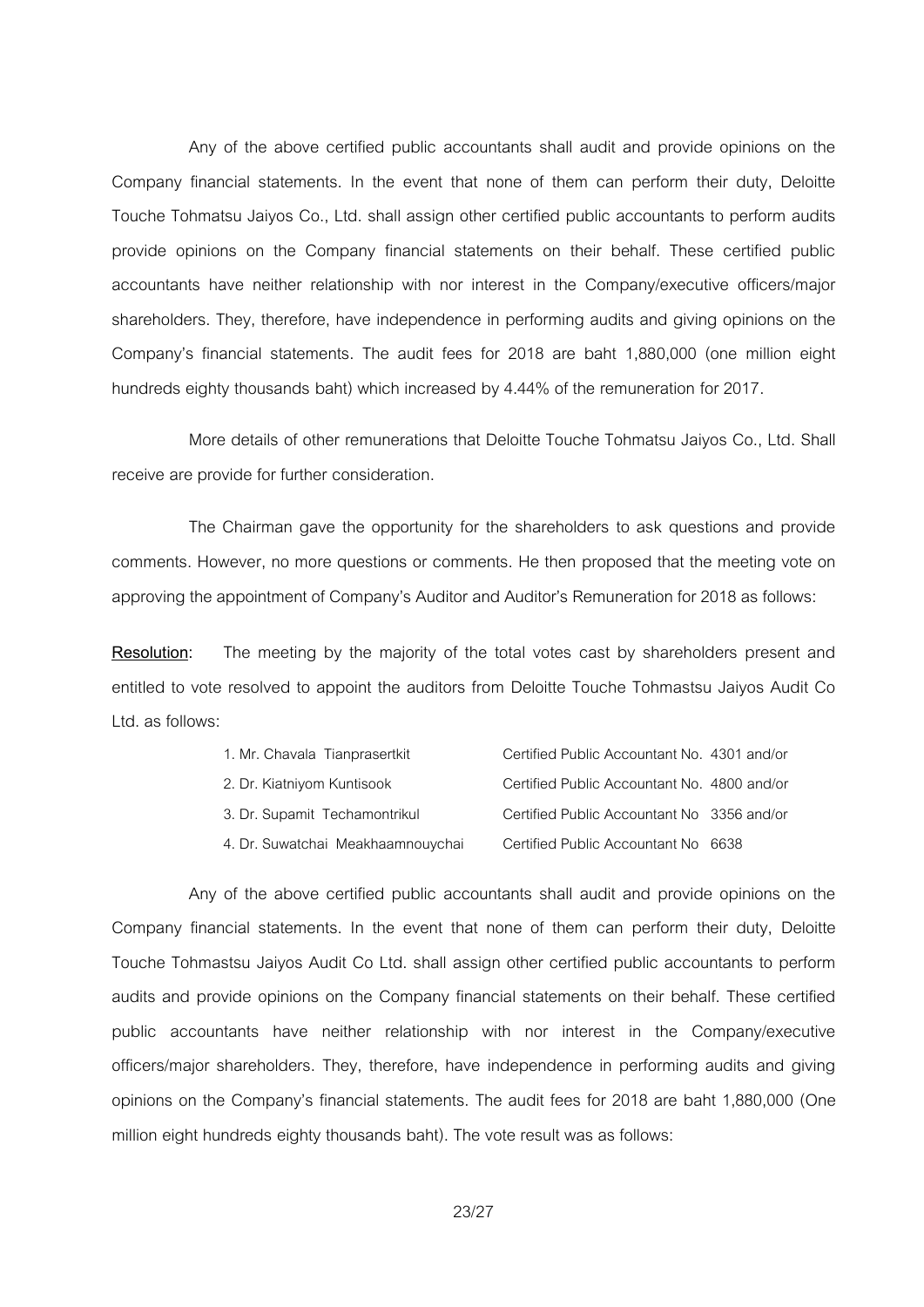Any of the above certified public accountants shall audit and provide opinions on the Company financial statements. In the event that none of them can perform their duty, Deloitte Touche Tohmatsu Jaiyos Co., Ltd. shall assign other certified public accountants to perform audits provide opinions on the Company financial statements on their behalf. These certified public accountants have neither relationship with nor interest in the Company/executive officers/major shareholders. They, therefore, have independence in performing audits and giving opinions on the Company's financial statements. The audit fees for 2018 are baht 1,880,000 (one million eight hundreds eighty thousands baht) which increased by 4.44% of the remuneration for 2017.

More details of other remunerations that Deloitte Touche Tohmatsu Jaiyos Co., Ltd. Shall receive are provide for further consideration.

The Chairman gave the opportunity for the shareholders to ask questions and provide comments. However, no more questions or comments. He then proposed that the meeting vote on approving the appointment of Company's Auditor and Auditor's Remuneration for 2018 as follows:

**Resolution:** The meeting by the majority of the total votes cast by shareholders present and entitled to vote resolved to appoint the auditors from Deloitte Touche Tohmastsu Jaiyos Audit Co Ltd. as follows:

| 1. Mr. Chavala Tianprasertkit     | Certified Public Accountant No. 4301 and/or |  |
|-----------------------------------|---------------------------------------------|--|
| 2. Dr. Kiatniyom Kuntisook        | Certified Public Accountant No. 4800 and/or |  |
| 3. Dr. Supamit Techamontrikul     | Certified Public Accountant No 3356 and/or  |  |
| 4. Dr. Suwatchai Meakhaamnouychai | Certified Public Accountant No 6638         |  |

Any of the above certified public accountants shall audit and provide opinions on the Company financial statements. In the event that none of them can perform their duty, Deloitte Touche Tohmastsu Jaiyos Audit Co Ltd. shall assign other certified public accountants to perform audits and provide opinions on the Company financial statements on their behalf. These certified public accountants have neither relationship with nor interest in the Company/executive officers/major shareholders. They, therefore, have independence in performing audits and giving opinions on the Company's financial statements. The audit fees for 2018 are baht 1,880,000 (One million eight hundreds eighty thousands baht). The vote result was as follows: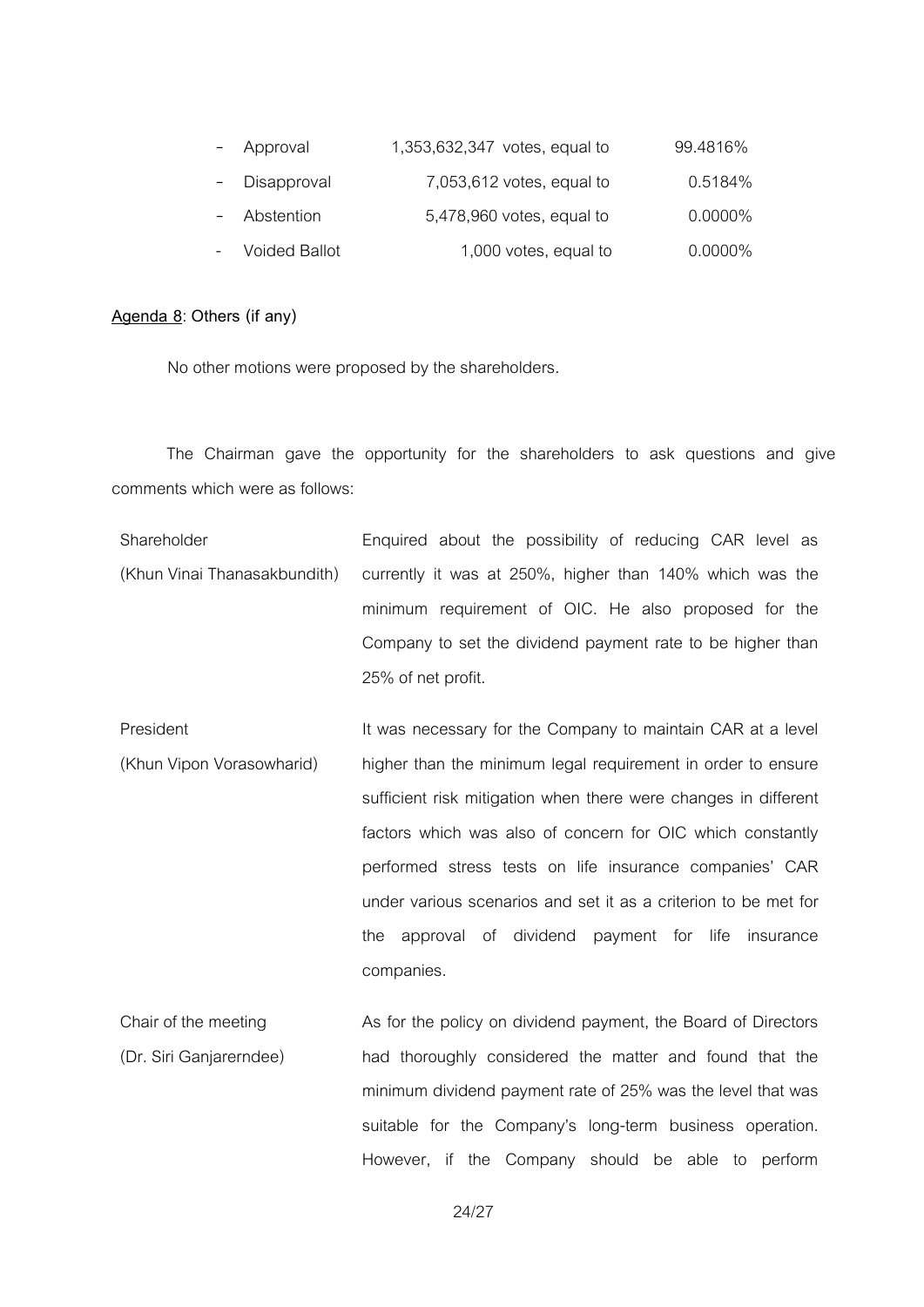| - Approval    | 1,353,632,347 votes, equal to | 99.4816%   |
|---------------|-------------------------------|------------|
| - Disapproval | $7,053,612$ votes, equal to   | 0.5184%    |
| - Abstention  | 5,478,960 votes, equal to     | $0.0000\%$ |
| Voided Ballot | 1,000 votes, equal to         | $0.0000\%$ |

## **Agenda 8**: **Others (if any)**

No other motions were proposed by the shareholders.

The Chairman gave the opportunity for the shareholders to ask questions and give comments which were as follows:

- Shareholder (Khun Vinai Thanasakbundith) Enquired about the possibility of reducing CAR level as currently it was at 250%, higher than 140% which was the minimum requirement of OIC. He also proposed for the Company to set the dividend payment rate to be higher than 25% of net profit.
- President (Khun Vipon Vorasowharid) It was necessary for the Company to maintain CAR at a level higher than the minimum legal requirement in order to ensure sufficient risk mitigation when there were changes in different factors which was also of concern for OIC which constantly performed stress tests on life insurance companies' CAR under various scenarios and set it as a criterion to be met for the approval of dividend payment for life insurance companies.
- Chair of the meeting (Dr. Siri Ganjarerndee) As for the policy on dividend payment, the Board of Directors had thoroughly considered the matter and found that the minimum dividend payment rate of 25% was the level that was suitable for the Company's long-term business operation. However, if the Company should be able to perform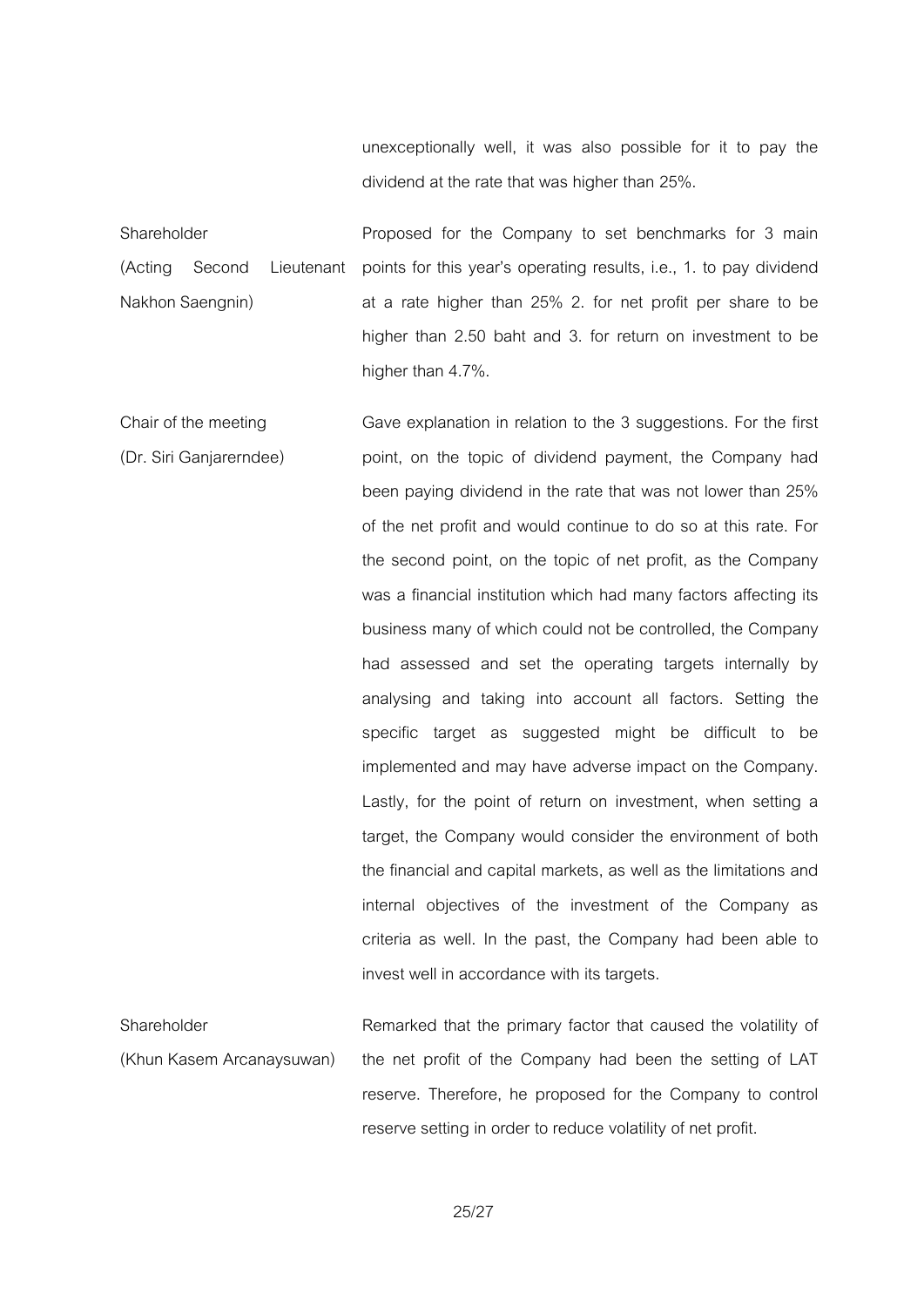unexceptionally well, it was also possible for it to pay the dividend at the rate that was higher than 25%.

Shareholder (Acting Second Lieutenant Nakhon Saengnin) Proposed for the Company to set benchmarks for 3 main points for this year's operating results, i.e., 1. to pay dividend at a rate higher than 25% 2. for net profit per share to be higher than 2.50 baht and 3. for return on investment to be higher than 4.7%.

Chair of the meeting (Dr. Siri Ganjarerndee) Gave explanation in relation to the 3 suggestions. For the first point, on the topic of dividend payment, the Company had been paying dividend in the rate that was not lower than 25% of the net profit and would continue to do so at this rate. For the second point, on the topic of net profit, as the Company was a financial institution which had many factors affecting its business many of which could not be controlled, the Company had assessed and set the operating targets internally by analysing and taking into account all factors. Setting the specific target as suggested might be difficult to be implemented and may have adverse impact on the Company. Lastly, for the point of return on investment, when setting a target, the Company would consider the environment of both the financial and capital markets, as well as the limitations and internal objectives of the investment of the Company as criteria as well. In the past, the Company had been able to invest well in accordance with its targets.

Shareholder (Khun Kasem Arcanaysuwan) Remarked that the primary factor that caused the volatility of the net profit of the Company had been the setting of LAT reserve. Therefore, he proposed for the Company to control reserve setting in order to reduce volatility of net profit.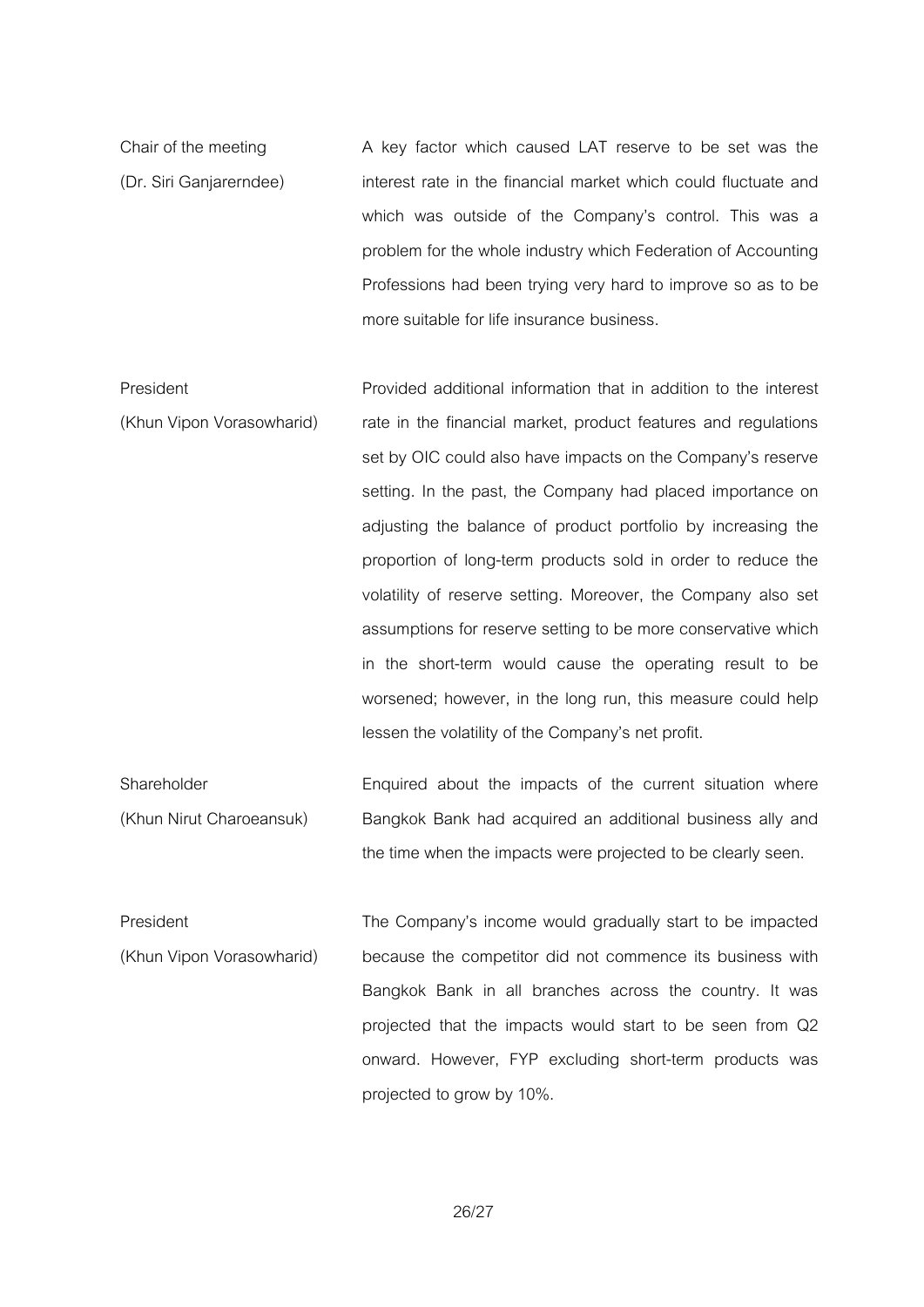Chair of the meeting (Dr. Siri Ganjarerndee) A key factor which caused LAT reserve to be set was the interest rate in the financial market which could fluctuate and which was outside of the Company's control. This was a problem for the whole industry which Federation of Accounting Professions had been trying very hard to improve so as to be more suitable for life insurance business.

- President (Khun Vipon Vorasowharid) Provided additional information that in addition to the interest rate in the financial market, product features and regulations set by OIC could also have impacts on the Company's reserve setting. In the past, the Company had placed importance on adjusting the balance of product portfolio by increasing the proportion of long-term products sold in order to reduce the volatility of reserve setting. Moreover, the Company also set assumptions for reserve setting to be more conservative which in the short-term would cause the operating result to be worsened; however, in the long run, this measure could help lessen the volatility of the Company's net profit.
- Shareholder (Khun Nirut Charoeansuk) Enquired about the impacts of the current situation where Bangkok Bank had acquired an additional business ally and the time when the impacts were projected to be clearly seen.
- President (Khun Vipon Vorasowharid) The Company's income would gradually start to be impacted because the competitor did not commence its business with Bangkok Bank in all branches across the country. It was projected that the impacts would start to be seen from Q2 onward. However, FYP excluding short-term products was projected to grow by 10%.